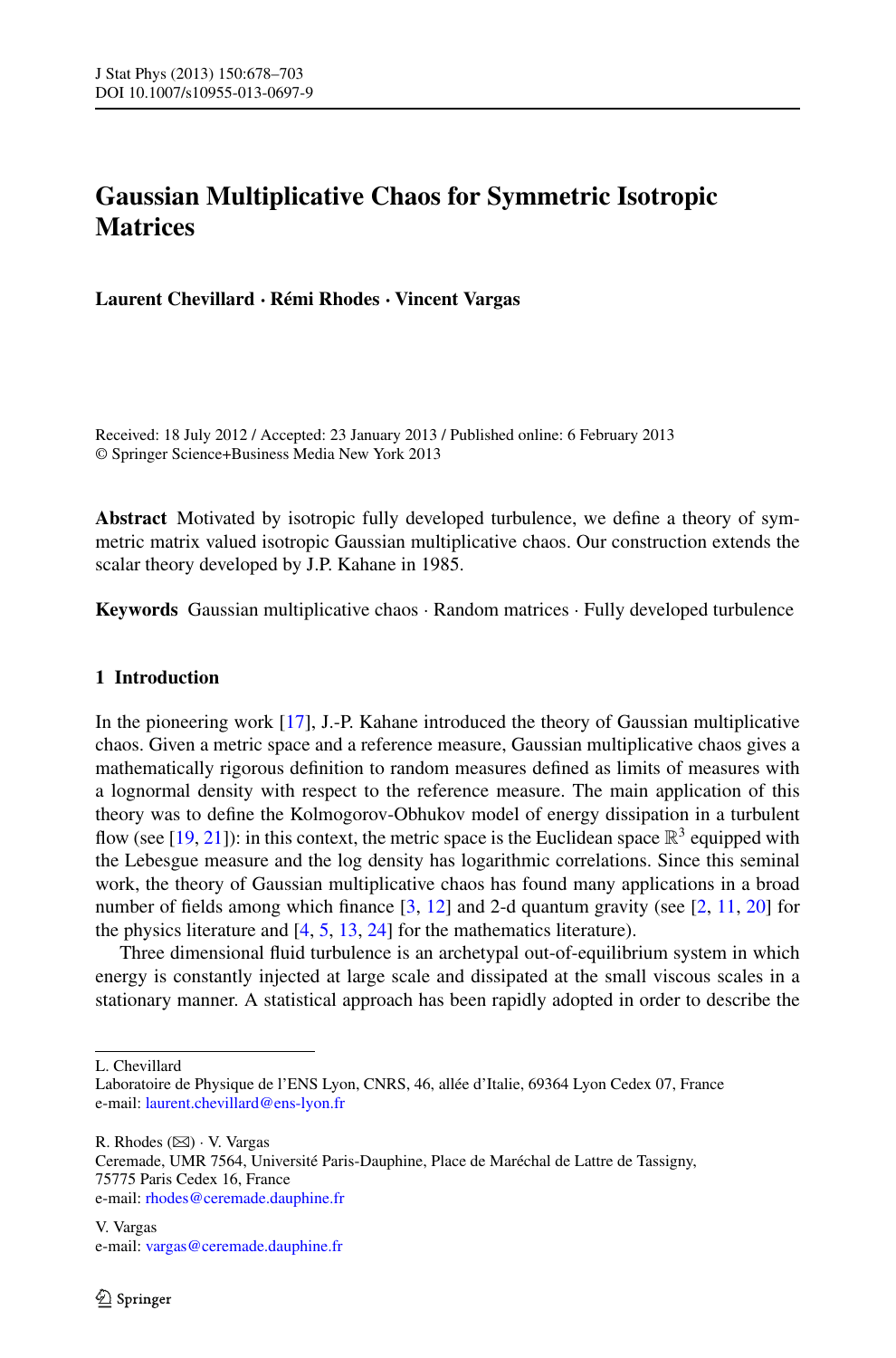# **Gaussian Multiplicative Chaos for Symmetric Isotropic Matrices**

**Laurent Chevillard · Rémi Rhodes · Vincent Vargas**

Received: 18 July 2012 / Accepted: 23 January 2013 / Published online: 6 February 2013 © Springer Science+Business Media New York 2013

**Abstract** Motivated by isotropic fully developed turbulence, we define a theory of symmetric matrix valued isotropic Gaussian multiplicative chaos. Our construction extends the scalar theory developed by J.P. Kahane in 1985.

**Keywords** Gaussian multiplicative chaos · Random matrices · Fully developed turbulence

## **1 Introduction**

In the pioneering work [\[17\]](#page-25-0), J.-P. Kahane introduced the theory of Gaussian multiplicative chaos. Given a metric space and a reference measure, Gaussian multiplicative chaos gives a mathematically rigorous definition to random measures defined as limits of measures with a lognormal density with respect to the reference measure. The main application of this theory was to define the Kolmogorov-Obhukov model of energy dissipation in a turbulent flow (see [\[19](#page-25-1), [21](#page-25-2)]): in this context, the metric space is the Euclidean space  $\mathbb{R}^3$  equipped with the Lebesgue measure and the log density has logarithmic correlations. Since this seminal work, the theory of Gaussian multiplicative chaos has found many applications in a broad number of fields among which finance  $[3, 12]$  $[3, 12]$  $[3, 12]$  and 2-d quantum gravity (see  $[2, 11, 20]$  $[2, 11, 20]$  $[2, 11, 20]$  $[2, 11, 20]$  $[2, 11, 20]$  for the physics literature and  $[4, 5, 13, 24]$  $[4, 5, 13, 24]$  $[4, 5, 13, 24]$  $[4, 5, 13, 24]$  $[4, 5, 13, 24]$  $[4, 5, 13, 24]$  $[4, 5, 13, 24]$  for the mathematics literature).

Three dimensional fluid turbulence is an archetypal out-of-equilibrium system in which energy is constantly injected at large scale and dissipated at the small viscous scales in a stationary manner. A statistical approach has been rapidly adopted in order to describe the

L. Chevillard

 $R.$  Rhodes  $(\boxtimes) \cdot V.$  Vargas

Ceremade, UMR 7564, Université Paris-Dauphine, Place de Maréchal de Lattre de Tassigny, 75775 Paris Cedex 16, France e-mail: [rhodes@ceremade.dauphine.fr](mailto:rhodes@ceremade.dauphine.fr)

Laboratoire de Physique de l'ENS Lyon, CNRS, 46, allée d'Italie, 69364 Lyon Cedex 07, France e-mail: [laurent.chevillard@ens-lyon.fr](mailto:laurent.chevillard@ens-lyon.fr)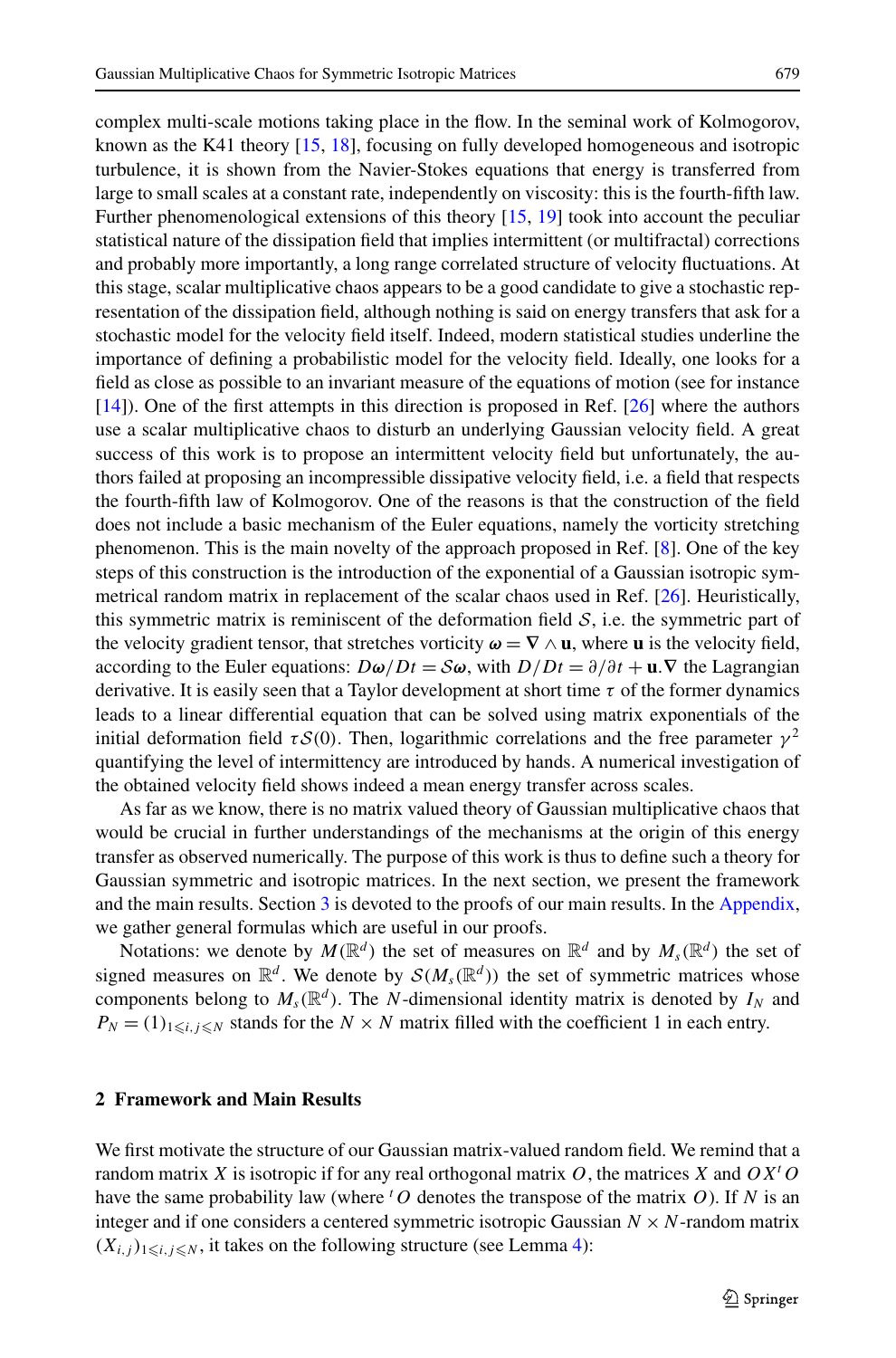complex multi-scale motions taking place in the flow. In the seminal work of Kolmogorov, known as the K41 theory [[15](#page-25-10), [18\]](#page-25-11), focusing on fully developed homogeneous and isotropic turbulence, it is shown from the Navier-Stokes equations that energy is transferred from large to small scales at a constant rate, independently on viscosity: this is the fourth-fifth law. Further phenomenological extensions of this theory [\[15,](#page-25-10) [19](#page-25-1)] took into account the peculiar statistical nature of the dissipation field that implies intermittent (or multifractal) corrections and probably more importantly, a long range correlated structure of velocity fluctuations. At this stage, scalar multiplicative chaos appears to be a good candidate to give a stochastic representation of the dissipation field, although nothing is said on energy transfers that ask for a stochastic model for the velocity field itself. Indeed, modern statistical studies underline the importance of defining a probabilistic model for the velocity field. Ideally, one looks for a field as close as possible to an invariant measure of the equations of motion (see for instance [[14](#page-25-12)]). One of the first attempts in this direction is proposed in Ref. [[26](#page-25-13)] where the authors use a scalar multiplicative chaos to disturb an underlying Gaussian velocity field. A great success of this work is to propose an intermittent velocity field but unfortunately, the authors failed at proposing an incompressible dissipative velocity field, i.e. a field that respects the fourth-fifth law of Kolmogorov. One of the reasons is that the construction of the field does not include a basic mechanism of the Euler equations, namely the vorticity stretching phenomenon. This is the main novelty of the approach proposed in Ref. [[8\]](#page-25-14). One of the key steps of this construction is the introduction of the exponential of a Gaussian isotropic symmetrical random matrix in replacement of the scalar chaos used in Ref. [\[26\]](#page-25-13). Heuristically, this symmetric matrix is reminiscent of the deformation field  $S$ , i.e. the symmetric part of the velocity gradient tensor, that stretches vorticity  $\omega = \nabla \wedge \mathbf{u}$ , where **u** is the velocity field, according to the Euler equations:  $D\omega/Dt = S\omega$ , with  $D/Dt = \partial/\partial t + \mathbf{u}.\nabla$  the Lagrangian derivative. It is easily seen that a Taylor development at short time *τ* of the former dynamics leads to a linear differential equation that can be solved using matrix exponentials of the initial deformation field  $\tau S(0)$ . Then, logarithmic correlations and the free parameter  $\gamma^2$ quantifying the level of intermittency are introduced by hands. A numerical investigation of the obtained velocity field shows indeed a mean energy transfer across scales.

As far as we know, there is no matrix valued theory of Gaussian multiplicative chaos that would be crucial in further understandings of the mechanisms at the origin of this energy transfer as observed numerically. The purpose of this work is thus to define such a theory for Gaussian symmetric and isotropic matrices. In the next section, we present the framework and the main results. Section [3](#page-4-0) is devoted to the proofs of our main results. In the [Appendix](#page-20-0), we gather general formulas which are useful in our proofs.

<span id="page-1-0"></span>Notations: we denote by  $M(\mathbb{R}^d)$  the set of measures on  $\mathbb{R}^d$  and by  $M_s(\mathbb{R}^d)$  the set of signed measures on  $\mathbb{R}^d$ . We denote by  $\mathcal{S}(M_s(\mathbb{R}^d))$  the set of symmetric matrices whose components belong to  $M_s(\mathbb{R}^d)$ . The *N*-dimensional identity matrix is denoted by  $I_N$  and  $P_N = (1)_{1 \le i, j \le N}$  stands for the  $N \times N$  matrix filled with the coefficient 1 in each entry.

### **2 Framework and Main Results**

We first motivate the structure of our Gaussian matrix-valued random field. We remind that a random matrix *X* is isotropic if for any real orthogonal matrix *O*, the matrices *X* and *OX<sup>t</sup> O* have the same probability law (where  $^tO$  denotes the transpose of the matrix  $O$ ). If  $N$  is an integer and if one considers a centered symmetric isotropic Gaussian  $N \times N$ -random matrix  $(X_{i,j})_{1\leq i,j\leq N}$ , it takes on the following structure (see Lemma [4\)](#page-22-0):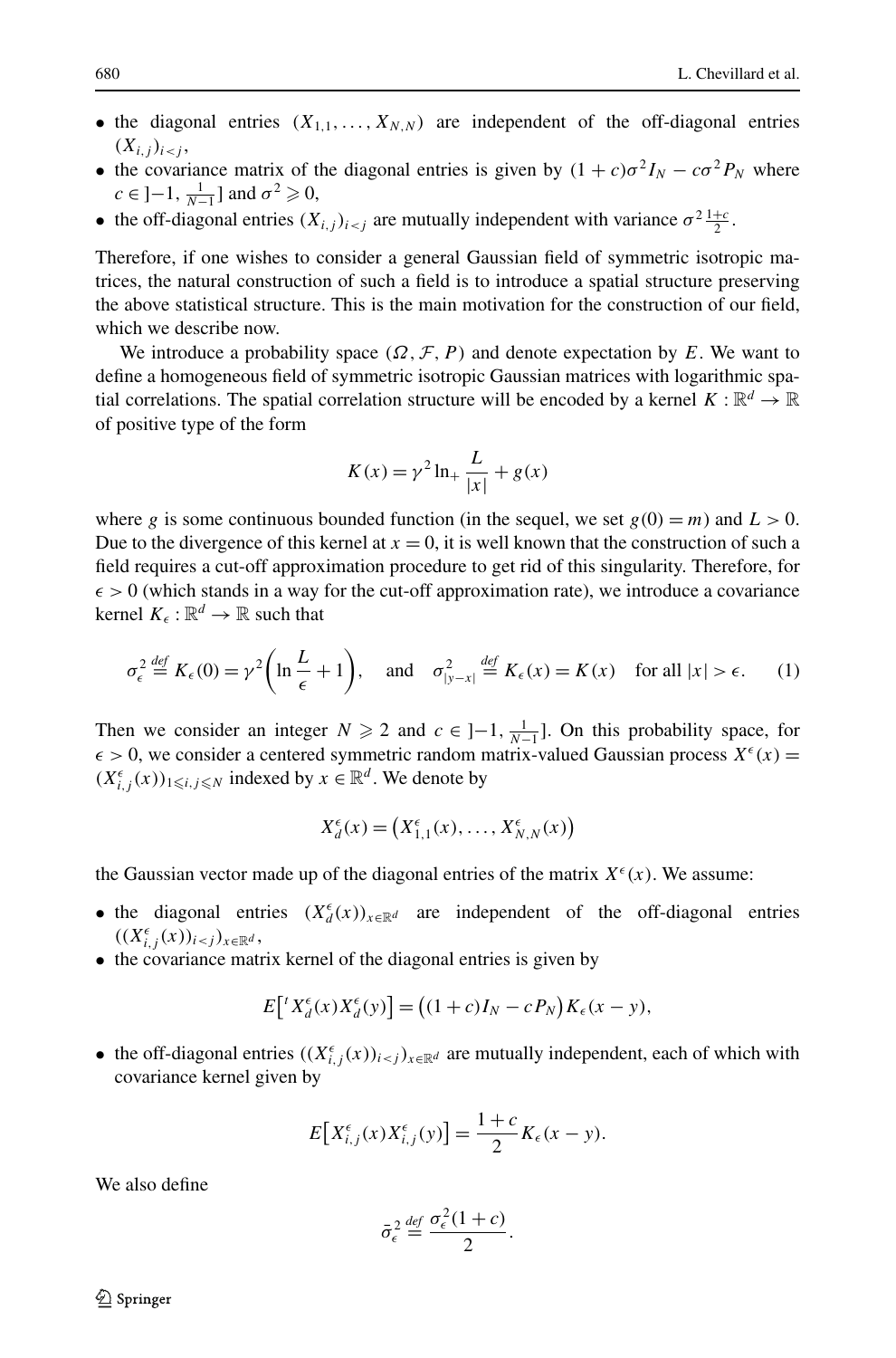- the diagonal entries  $(X_{1,1},...,X_{N,N})$  are independent of the off-diagonal entries  $(X_{i,j})_{i \leq j}$
- the covariance matrix of the diagonal entries is given by  $(1 + c)\sigma^2 I_N c\sigma^2 P_N$  where  $c \in ]-1, \frac{1}{N-1}]$  and  $\sigma^2 \geq 0$ ,
- the off-diagonal entries  $(X_{i,j})_{i \leq j}$  are mutually independent with variance  $\sigma^2 \frac{1+c}{2}$ .

Therefore, if one wishes to consider a general Gaussian field of symmetric isotropic matrices, the natural construction of such a field is to introduce a spatial structure preserving the above statistical structure. This is the main motivation for the construction of our field, which we describe now.

We introduce a probability space  $(\Omega, \mathcal{F}, P)$  and denote expectation by *E*. We want to define a homogeneous field of symmetric isotropic Gaussian matrices with logarithmic spatial correlations. The spatial correlation structure will be encoded by a kernel  $K : \mathbb{R}^d \to \mathbb{R}$ of positive type of the form

$$
K(x) = \gamma^2 \ln_+ \frac{L}{|x|} + g(x)
$$

where *g* is some continuous bounded function (in the sequel, we set  $g(0) = m$ ) and  $L > 0$ . Due to the divergence of this kernel at  $x = 0$ , it is well known that the construction of such a field requires a cut-off approximation procedure to get rid of this singularity. Therefore, for  $\epsilon$  > 0 (which stands in a way for the cut-off approximation rate), we introduce a covariance kernel  $K_{\epsilon} : \mathbb{R}^d \to \mathbb{R}$  such that

$$
\sigma_{\epsilon}^{2} \stackrel{def}{=} K_{\epsilon}(0) = \gamma^{2} \left( \ln \frac{L}{\epsilon} + 1 \right), \quad \text{and} \quad \sigma_{|y-x|}^{2} \stackrel{def}{=} K_{\epsilon}(x) = K(x) \quad \text{for all } |x| > \epsilon. \tag{1}
$$

Then we consider an integer  $N \ge 2$  and  $c \in ]-1, \frac{1}{N-1}].$  On this probability space, for  $\epsilon > 0$ , we consider a centered symmetric random matrix-valued Gaussian process  $X^{\epsilon}(x)$  =  $(X_{i,j}^{\epsilon}(x))_{1\leq i,j\leq N}$  indexed by  $x \in \mathbb{R}^d$ . We denote by

$$
X_d^{\epsilon}(x) = \left(X_{1,1}^{\epsilon}(x), \ldots, X_{N,N}^{\epsilon}(x)\right)
$$

the Gaussian vector made up of the diagonal entries of the matrix  $X^{\epsilon}(x)$ . We assume:

- the diagonal entries  $(X_d^{\epsilon}(x))_{x \in \mathbb{R}^d}$  are independent of the off-diagonal entries  $((X_{i,j}^{\epsilon}(x))_{i < j})_{x \in \mathbb{R}^d}$ ,
- the covariance matrix kernel of the diagonal entries is given by

$$
E\left[\,{}^{t}X_{d}^{\epsilon}(x)X_{d}^{\epsilon}(y)\right] = \left((1+c)I_{N} - cP_{N}\right)K_{\epsilon}(x-y),
$$

• the off-diagonal entries  $((X_{i,j}^{\epsilon}(x))_{i \leq j})_{x \in \mathbb{R}^d}$  are mutually independent, each of which with covariance kernel given by

$$
E[X_{i,j}^{\epsilon}(x)X_{i,j}^{\epsilon}(y)]=\frac{1+c}{2}K_{\epsilon}(x-y).
$$

We also define

$$
\bar{\sigma}_{\epsilon}^2 \stackrel{\text{def}}{=} \frac{\sigma_{\epsilon}^2 (1 + c)}{2}.
$$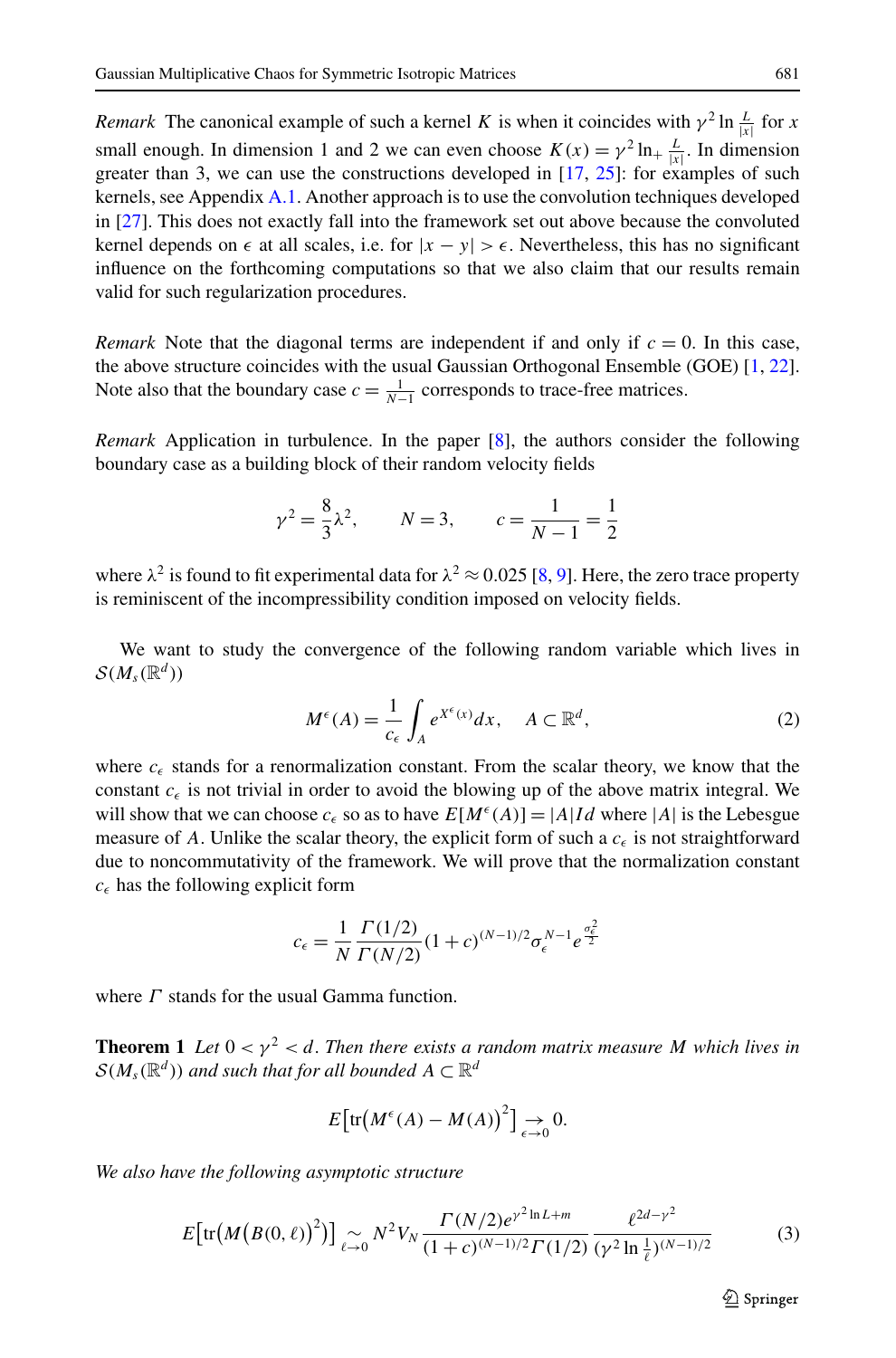<span id="page-3-3"></span>*Remark* The canonical example of such a kernel *K* is when it coincides with  $\gamma^2 \ln \frac{L}{|x|}$  for *x* small enough. In dimension 1 and 2 we can even choose  $K(x) = \gamma^2 \ln_+ \frac{L}{|x|}$ . In dimension greater than 3, we can use the constructions developed in [\[17,](#page-25-0) [25\]](#page-25-15): for examples of such kernels, see Appendix [A.1.](#page-20-1) Another approach is to use the convolution techniques developed in [[27](#page-25-16)]. This does not exactly fall into the framework set out above because the convoluted kernel depends on  $\epsilon$  at all scales, i.e. for  $|x - y| > \epsilon$ . Nevertheless, this has no significant influence on the forthcoming computations so that we also claim that our results remain valid for such regularization procedures.

*Remark* Note that the diagonal terms are independent if and only if  $c = 0$ . In this case, the above structure coincides with the usual Gaussian Orthogonal Ensemble (GOE) [\[1,](#page-24-2) [22](#page-25-17)]. Note also that the boundary case  $c = \frac{1}{N-1}$  corresponds to trace-free matrices.

*Remark* Application in turbulence. In the paper [[8](#page-25-14)], the authors consider the following boundary case as a building block of their random velocity fields

<span id="page-3-0"></span>
$$
\gamma^2 = \frac{8}{3}\lambda^2
$$
,  $N = 3$ ,  $c = \frac{1}{N-1} = \frac{1}{2}$ 

where  $\lambda^2$  is found to fit experimental data for  $\lambda^2 \approx 0.025$  [\[8,](#page-25-14) [9\]](#page-25-18). Here, the zero trace property is reminiscent of the incompressibility condition imposed on velocity fields.

We want to study the convergence of the following random variable which lives in  $\mathcal{S}(M,\mathbb{R}^d)$ 

$$
M^{\epsilon}(A) = \frac{1}{c_{\epsilon}} \int_{A} e^{X^{\epsilon}(x)} dx, \quad A \subset \mathbb{R}^{d},
$$
 (2)

<span id="page-3-2"></span>where  $c_{\epsilon}$  stands for a renormalization constant. From the scalar theory, we know that the constant  $c_{\epsilon}$  is not trivial in order to avoid the blowing up of the above matrix integral. We will show that we can choose  $c_{\epsilon}$  so as to have  $E[M^{\epsilon}(A)] = |A|Id$  where |A| is the Lebesgue measure of A. Unlike the scalar theory, the explicit form of such a  $c_{\epsilon}$  is not straightforward due to noncommutativity of the framework. We will prove that the normalization constant  $c_{\epsilon}$  has the following explicit form

$$
c_{\epsilon} = \frac{1}{N} \frac{\Gamma(1/2)}{\Gamma(N/2)} (1 + c)^{(N-1)/2} \sigma_{\epsilon}^{N-1} e^{\frac{\sigma_{\epsilon}^2}{2}}
$$

where *Γ* stands for the usual Gamma function.

**Theorem 1** Let  $0 < y^2 < d$ . Then there exists a random matrix measure M which lives in  $\mathcal{S}(M,\mathbb{R}^d)$  *and such that for all bounded*  $A \subset \mathbb{R}^d$ 

<span id="page-3-1"></span>
$$
E\big[\mathrm{tr}\big(M^{\epsilon}(A) - M(A)\big)^2\big] \underset{\epsilon \to 0}{\to} 0.
$$

*We also have the following asymptotic structure*

$$
E\left[\text{tr}\left(M\left(B(0,\ell)\right)^2\right)\right] \underset{\ell \to 0}{\sim} N^2 V_N \frac{\Gamma(N/2) e^{\gamma^2 \ln L + m}}{(1 + c)^{(N-1)/2} \Gamma(1/2)} \frac{\ell^{2d - \gamma^2}}{(\gamma^2 \ln \frac{1}{\ell})^{(N-1)/2}} \tag{3}
$$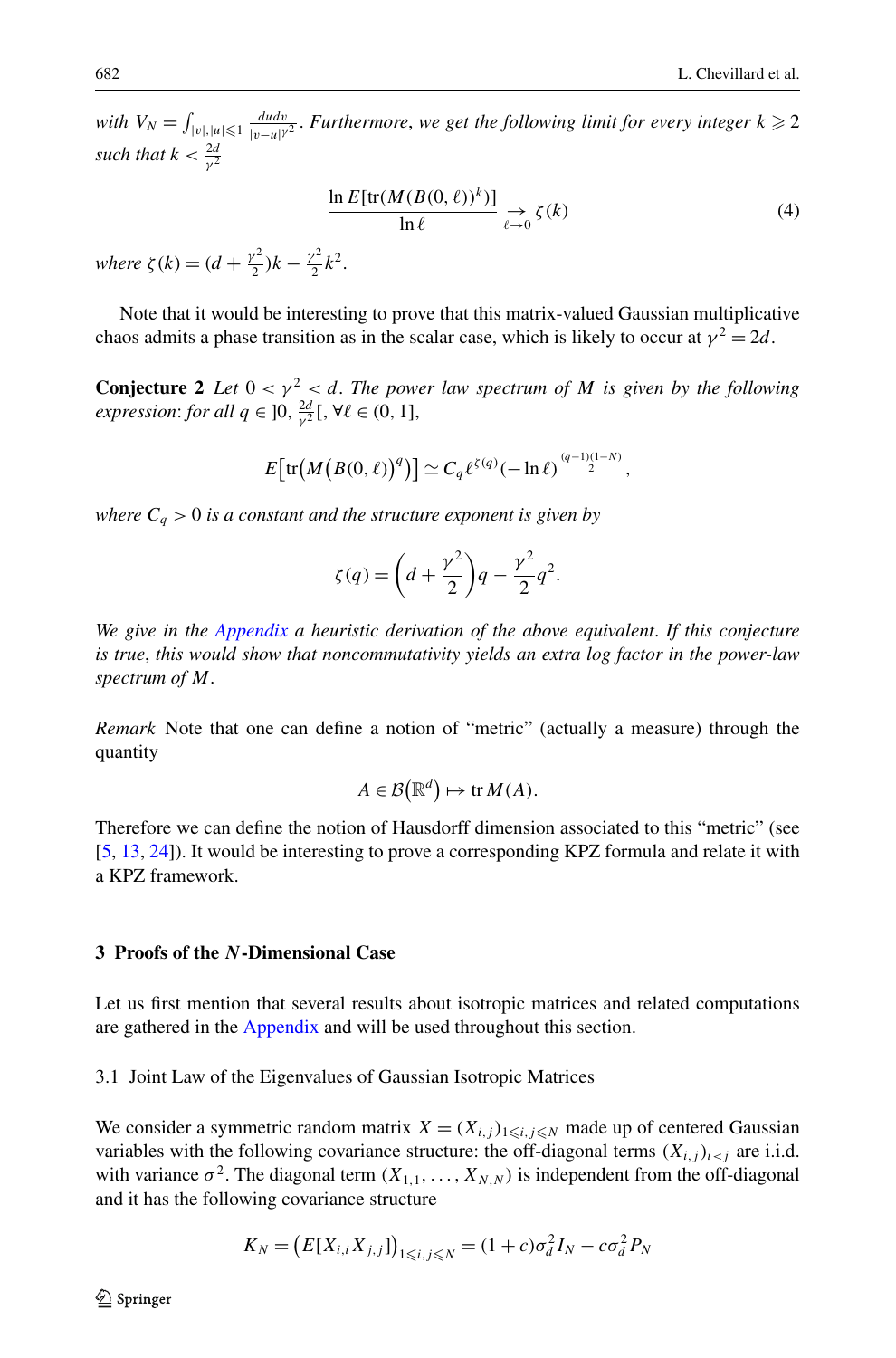*with*  $V_N = \int_{|v|, |u| \leqslant 1} \frac{du dv}{|v - u|^{\gamma}}$  $\frac{dudv}{|v-u|^{\gamma^2}}$ . *Furthermore*, *we get the following limit for every integer*  $k \geq 2$ *such that*  $k < \frac{2d}{\gamma^2}$ 

<span id="page-4-1"></span>
$$
\frac{\ln E[\text{tr}(M(B(0,\ell))^k)]}{\ln \ell} \underset{\ell \to 0}{\to} \zeta(k) \tag{4}
$$

 $where \zeta(k) = (d + \frac{\gamma^2}{2})k - \frac{\gamma^2}{2}k^2.$ 

Note that it would be interesting to prove that this matrix-valued Gaussian multiplicative chaos admits a phase transition as in the scalar case, which is likely to occur at  $\gamma^2 = 2d$ .

**Conjecture 2** *Let*  $0 < \gamma^2 < d$ . The power law spectrum of M is given by the following *expression: for all*  $q \in ]0, \frac{2d}{\gamma^2}[, \forall \ell \in (0, 1],$ 

$$
E\big[\mathrm{tr}\big(M\big(B(0,\ell)\big)^q\big)\big] \simeq C_q \ell^{\zeta(q)}(-\ln \ell)^{\frac{(q-1)(1-N)}{2}},
$$

*where*  $C_q > 0$  *is a constant and the structure exponent is given by* 

$$
\zeta(q) = \left(d + \frac{\gamma^2}{2}\right)q - \frac{\gamma^2}{2}q^2.
$$

*We give in the [Appendix](#page-20-0) a heuristic derivation of the above equivalent*. *If this conjecture is true*, *this would show that noncommutativity yields an extra log factor in the power-law spectrum of M*.

*Remark* Note that one can define a notion of "metric" (actually a measure) through the quantity

$$
A \in \mathcal{B}(\mathbb{R}^d) \mapsto \text{tr}\,M(A).
$$

<span id="page-4-0"></span>Therefore we can define the notion of Hausdorff dimension associated to this "metric" (see [[5,](#page-25-7) [13,](#page-25-8) [24\]](#page-25-9)). It would be interesting to prove a corresponding KPZ formula and relate it with a KPZ framework.

## **3 Proofs of the** *N***-Dimensional Case**

Let us first mention that several results about isotropic matrices and related computations are gathered in the [Appendix](#page-20-0) and will be used throughout this section.

3.1 Joint Law of the Eigenvalues of Gaussian Isotropic Matrices

We consider a symmetric random matrix  $X = (X_{i,j})_{1 \leq i,j \leq N}$  made up of centered Gaussian variables with the following covariance structure: the off-diagonal terms  $(X_{i,j})_{i \leq j}$  are i.i.d. with variance  $\sigma^2$ . The diagonal term  $(X_{1,1},...,X_{N,N})$  is independent from the off-diagonal and it has the following covariance structure

$$
K_N = (E[X_{i,i}X_{j,j}])_{1 \le i,j \le N} = (1+c)\sigma_d^2 I_N - c\sigma_d^2 P_N
$$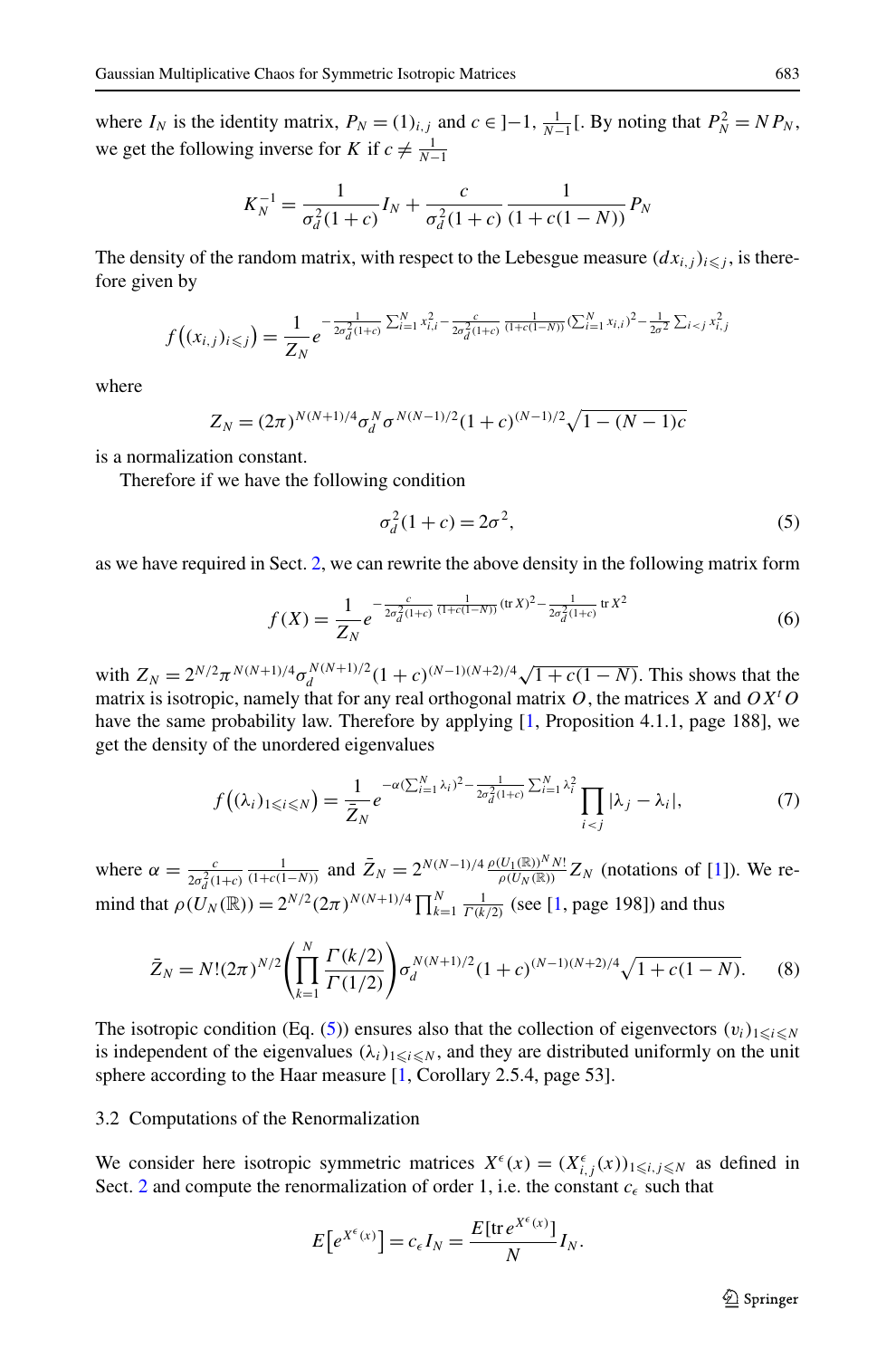where  $I_N$  is the identity matrix,  $P_N = (1)_{i,j}$  and  $c \in ]-1, \frac{1}{N-1}[$ . By noting that  $P_N^2 = NP_N$ , we get the following inverse for *K* if  $c \neq \frac{1}{N-1}$ 

$$
K_N^{-1} = \frac{1}{\sigma_d^2 (1+c)} I_N + \frac{c}{\sigma_d^2 (1+c)} \frac{1}{(1+c(1-N))} P_N
$$

The density of the random matrix, with respect to the Lebesgue measure  $(dx_{i,j})_{i \leq j}$ , is therefore given by

$$
f\left((x_{i,j})_{i\leq j}\right)=\frac{1}{Z_N}e^{-\frac{1}{2\sigma_d^2(1+c)}\sum_{i=1}^N x_{i,i}^2-\frac{c}{2\sigma_d^2(1+c)}\frac{1}{(1+c(1-N))}(\sum_{i=1}^N x_{i,i})^2-\frac{1}{2\sigma^2}\sum_{i\leq j}x_{i,j}^2}
$$

where

$$
Z_N = (2\pi)^{N(N+1)/4} \sigma_d^N \sigma^{N(N-1)/2} (1+c)^{(N-1)/2} \sqrt{1-(N-1)c}
$$

is a normalization constant.

Therefore if we have the following condition

<span id="page-5-3"></span><span id="page-5-2"></span><span id="page-5-1"></span><span id="page-5-0"></span>
$$
\sigma_d^2(1+c) = 2\sigma^2,\tag{5}
$$

as we have required in Sect. [2,](#page-1-0) we can rewrite the above density in the following matrix form

$$
f(X) = \frac{1}{Z_N} e^{-\frac{c}{2\sigma_d^2 (1+c)} \frac{1}{(1+c(1-N))} (\text{tr } X)^2 - \frac{1}{2\sigma_d^2 (1+c)}} \text{tr } X^2}
$$
(6)

with  $Z_N = 2^{N/2} \pi^{N(N+1)/4} \sigma_d^{N(N+1)/2} (1+c)^{(N-1)(N+2)/4} \sqrt{1+c(1-N)}$ . This shows that the matrix is isotropic, namely that for any real orthogonal matrix *O*, the matrices *X* and *OX<sup>t</sup> O* have the same probability law. Therefore by applying [[1,](#page-24-2) Proposition 4.1.1, page 188], we get the density of the unordered eigenvalues

$$
f((\lambda_i)_{1\leq i\leq N}) = \frac{1}{\bar{Z}_N}e^{-\alpha(\sum_{i=1}^N\lambda_i)^2 - \frac{1}{2\sigma_d^2(1+c)}\sum_{i=1}^N\lambda_i^2}\prod_{i < j}|\lambda_j - \lambda_i|,\tag{7}
$$

where  $\alpha = \frac{c}{2\sigma_d^2(1+c)}$  $\frac{1}{(1+c(1-N))}$  and  $\bar{Z}_N = 2^{N(N-1)/4} \frac{\rho(U_1(\mathbb{R}))^N N!}{\rho(U_N(\mathbb{R}))} Z_N$  (notations of [\[1\]](#page-24-2)). We remind that  $\rho(U_N(\mathbb{R})) = 2^{N/2} (2\pi)^{N(N+1)/4} \prod_{k=1}^N \frac{1}{\Gamma(k/2)}$  (see [\[1](#page-24-2), page 198]) and thus

$$
\bar{Z}_N = N!(2\pi)^{N/2} \left( \prod_{k=1}^N \frac{\Gamma(k/2)}{\Gamma(1/2)} \right) \sigma_d^{N(N+1)/2} (1+c)^{(N-1)(N+2)/4} \sqrt{1+c(1-N)}.
$$
 (8)

The isotropic condition (Eq. [\(5](#page-5-0))) ensures also that the collection of eigenvectors  $(v_i)_{1 \leq i \leq N}$ is independent of the eigenvalues  $(\lambda_i)_{1 \leq i \leq N}$ , and they are distributed uniformly on the unit sphere according to the Haar measure [\[1,](#page-24-2) Corollary 2.5.4, page 53].

3.2 Computations of the Renormalization

We consider here isotropic symmetric matrices  $X^{\epsilon}(x) = (X^{\epsilon}_{i,j}(x))_{1 \le i,j \le N}$  as defined in Sect. [2](#page-1-0) and compute the renormalization of order 1, i.e. the constant  $c_{\epsilon}$  such that

$$
E\big[e^{X^{\epsilon}(x)}\big] = c_{\epsilon} I_N = \frac{E[\text{tr} e^{X^{\epsilon}(x)}]}{N} I_N.
$$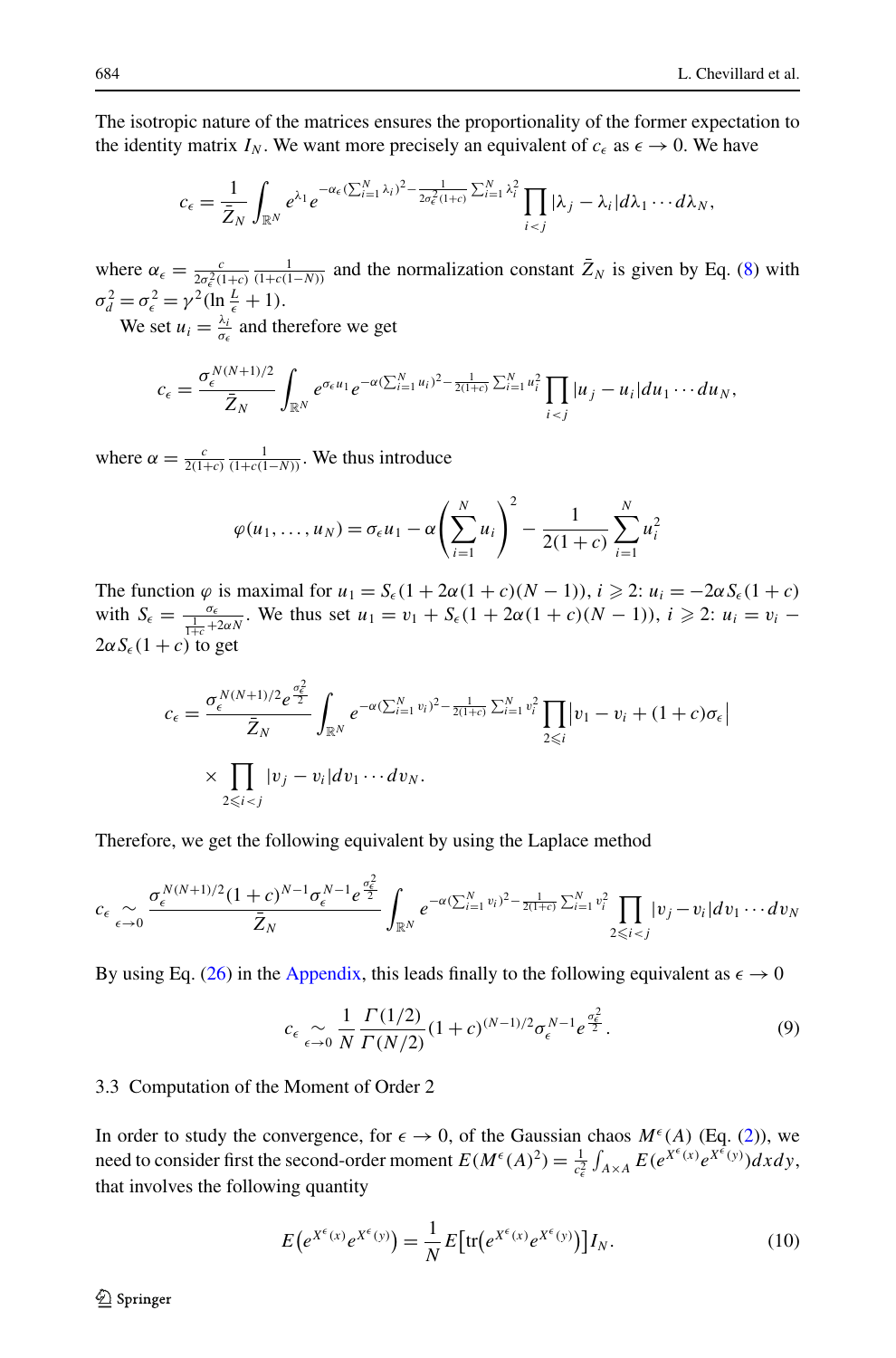The isotropic nature of the matrices ensures the proportionality of the former expectation to the identity matrix  $I_N$ . We want more precisely an equivalent of  $c_{\epsilon}$  as  $\epsilon \to 0$ . We have

$$
c_{\epsilon} = \frac{1}{\bar{Z}_N} \int_{\mathbb{R}^N} e^{\lambda_1} e^{-\alpha_{\epsilon} (\sum_{i=1}^N \lambda_i)^2 - \frac{1}{2\sigma_{\epsilon}^2 (1+c)} \sum_{i=1}^N \lambda_i^2} \prod_{i < j} |\lambda_j - \lambda_i| d\lambda_1 \cdots d\lambda_N,
$$

where  $\alpha_{\epsilon} = \frac{c}{2\sigma_{\epsilon}^2(1+c)} \frac{1}{(1+c(1-N))}$  and the normalization constant  $\bar{Z}_N$  is given by Eq. ([8\)](#page-5-1) with  $\sigma_d^2 = \sigma_{\epsilon}^2 = \gamma^2 (\ln \frac{L}{\epsilon} + 1).$ 

We set  $u_i = \frac{\lambda_i}{\sigma_{\epsilon}}$  and therefore we get

$$
c_{\epsilon}=\frac{\sigma_{\epsilon}^{N(N+1)/2}}{\bar{Z}_N}\int_{\mathbb{R}^N}e^{\sigma_{\epsilon}u_1}e^{-\alpha(\sum_{i=1}^N u_i)^2-\frac{1}{2(1+c)}\sum_{i=1}^N u_i^2}\prod_{i
$$

where  $\alpha = \frac{c}{2(1+c)} \frac{1}{(1+c(1-N))}$ . We thus introduce

$$
\varphi(u_1, ..., u_N) = \sigma_{\epsilon} u_1 - \alpha \left( \sum_{i=1}^N u_i \right)^2 - \frac{1}{2(1+c)} \sum_{i=1}^N u_i^2
$$

The function  $\varphi$  is maximal for  $u_1 = S_\epsilon (1 + 2\alpha(1 + c)(N - 1))$ ,  $i \geq 2$ :  $u_i = -2\alpha S_\epsilon (1 + c)$ with  $S_{\epsilon} = \frac{\sigma_{\epsilon}}{\frac{1}{1+c} + 2\alpha N}$ . We thus set  $u_1 = v_1 + S_{\epsilon}(1 + 2\alpha(1 + c)(N - 1))$ ,  $i \ge 2$ :  $u_i = v_i$  $2\alpha S_{\epsilon}(1+c)$  to get

$$
c_{\epsilon} = \frac{\sigma_{\epsilon}^{N(N+1)/2} e^{\frac{\sigma_{\epsilon}^2}{2}}}{\bar{Z}_N} \int_{\mathbb{R}^N} e^{-\alpha (\sum_{i=1}^N v_i)^2 - \frac{1}{2(1+\epsilon)} \sum_{i=1}^N v_i^2} \prod_{2 \leq i} |v_1 - v_i + (1+c)\sigma_{\epsilon}|
$$
  
\$\times \prod\_{2 \leq i < j} |v\_j - v\_i| dv\_1 \cdots dv\_N\$.

Therefore, we get the following equivalent by using the Laplace method

$$
c_{\epsilon} \underset{\epsilon \to 0}{\sim} \frac{\sigma_{\epsilon}^{N(N+1)/2} (1+c)^{N-1} \sigma_{\epsilon}^{N-1} e^{\frac{\sigma_{\epsilon}^2}{2}}}{\bar{Z}_N} \int_{\mathbb{R}^N} e^{-\alpha (\sum_{i=1}^N v_i)^2 - \frac{1}{2(1+c)} \sum_{i=1}^N v_i^2} \prod_{\substack{2 \leq i < j}} |v_j - v_i| dv_1 \cdots dv_N
$$

By using Eq. ([26\)](#page-24-3) in the [Appendix](#page-20-0), this leads finally to the following equivalent as  $\epsilon \to 0$ 

<span id="page-6-1"></span><span id="page-6-0"></span>
$$
c_{\epsilon} \underset{\epsilon \to 0}{\sim} \frac{1}{N} \frac{\Gamma(1/2)}{\Gamma(N/2)} (1+c)^{(N-1)/2} \sigma_{\epsilon}^{N-1} e^{\frac{\sigma_{\epsilon}^2}{2}}.
$$
 (9)

## 3.3 Computation of the Moment of Order 2

In order to study the convergence, for  $\epsilon \to 0$ , of the Gaussian chaos  $M^{\epsilon}(A)$  (Eq. [\(2\)](#page-3-0)), we need to consider first the second-order moment  $E(M^{\epsilon}(A)^2) = \frac{1}{c_{\epsilon}^2} \int_{A \times A} E(e^{X^{\epsilon}(x)} e^{X^{\epsilon}(y)}) dx dy$ , that involves the following quantity

$$
E\big(e^{X^{\epsilon}(x)}e^{X^{\epsilon}(y)}\big) = \frac{1}{N}E\big[\text{tr}\big(e^{X^{\epsilon}(x)}e^{X^{\epsilon}(y)}\big)\big]I_N. \tag{10}
$$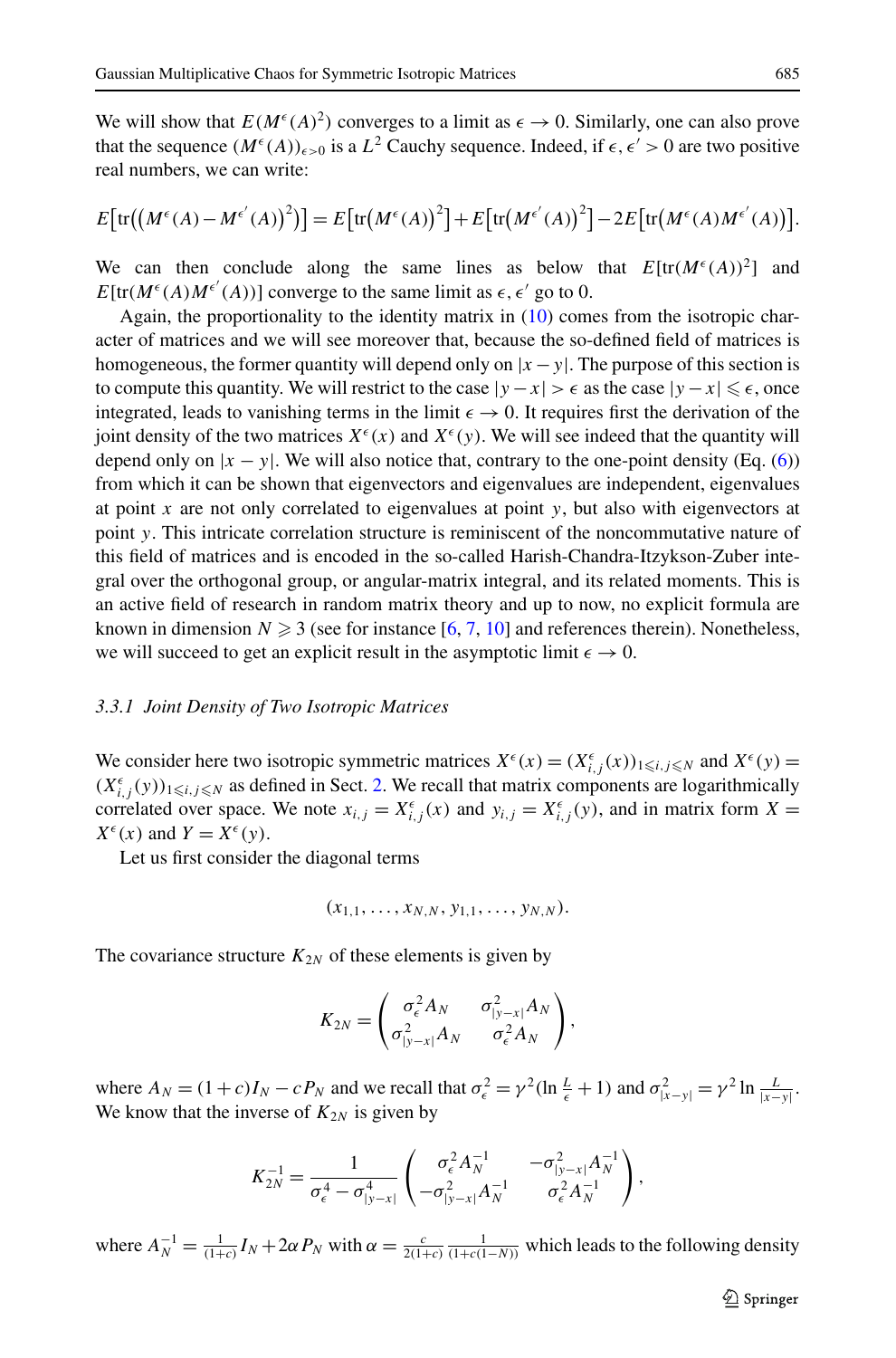We will show that  $E(M^{\epsilon}(A)^2)$  converges to a limit as  $\epsilon \to 0$ . Similarly, one can also prove that the sequence  $(M^{\epsilon}(A))_{\epsilon>0}$  is a  $L^2$  Cauchy sequence. Indeed, if  $\epsilon, \epsilon' > 0$  are two positive real numbers, we can write:

$$
E\big[\mathrm{tr}\big(\big(M^{\epsilon}(A) - M^{\epsilon'}(A)\big)^{2}\big)\big] = E\big[\mathrm{tr}\big(M^{\epsilon}(A)\big)^{2}\big] + E\big[\mathrm{tr}\big(M^{\epsilon'}(A)\big)^{2}\big] - 2E\big[\mathrm{tr}\big(M^{\epsilon}(A)M^{\epsilon'}(A)\big)\big].
$$

We can then conclude along the same lines as below that  $E[\text{tr}(M^{\epsilon}(A))^2]$  and  $E[tr(M^{\epsilon}(A)M^{\epsilon'}(A))]$  converge to the same limit as  $\epsilon, \epsilon'$  go to 0.

Again, the proportionality to the identity matrix in ([10](#page-6-0)) comes from the isotropic character of matrices and we will see moreover that, because the so-defined field of matrices is homogeneous, the former quantity will depend only on  $|x - y|$ . The purpose of this section is to compute this quantity. We will restrict to the case  $|y - x| > \epsilon$  as the case  $|y - x| \le \epsilon$ , once integrated, leads to vanishing terms in the limit  $\epsilon \to 0$ . It requires first the derivation of the joint density of the two matrices  $X^{\epsilon}(x)$  and  $X^{\epsilon}(y)$ . We will see indeed that the quantity will depend only on  $|x - y|$ . We will also notice that, contrary to the one-point density (Eq. [\(6](#page-5-2))) from which it can be shown that eigenvectors and eigenvalues are independent, eigenvalues at point *x* are not only correlated to eigenvalues at point *y*, but also with eigenvectors at point *y*. This intricate correlation structure is reminiscent of the noncommutative nature of this field of matrices and is encoded in the so-called Harish-Chandra-Itzykson-Zuber integral over the orthogonal group, or angular-matrix integral, and its related moments. This is an active field of research in random matrix theory and up to now, no explicit formula are known in dimension  $N \geq 3$  (see for instance [\[6](#page-25-19), [7](#page-25-20), [10\]](#page-25-21) and references therein). Nonetheless, we will succeed to get an explicit result in the asymptotic limit  $\epsilon \to 0$ .

### *3.3.1 Joint Density of Two Isotropic Matrices*

We consider here two isotropic symmetric matrices  $X^{\epsilon}(x) = (X^{\epsilon}_{i,j}(x))_{1 \le i,j \le N}$  and  $X^{\epsilon}(y) =$  $(X^{\epsilon}_{i,j}(y))_{1 \leq i,j \leq N}$  as defined in Sect. [2.](#page-1-0) We recall that matrix components are logarithmically correlated over space. We note  $x_{i,j} = X_{i,j}^{\epsilon}(x)$  and  $y_{i,j} = X_{i,j}^{\epsilon}(y)$ , and in matrix form  $X =$  $X^{\epsilon}(x)$  and  $Y = X^{\epsilon}(y)$ .

Let us first consider the diagonal terms

$$
(x_{1,1},\ldots,x_{N,N},y_{1,1},\ldots,y_{N,N}).
$$

The covariance structure  $K_{2N}$  of these elements is given by

$$
K_{2N} = \begin{pmatrix} \sigma_{\epsilon}^2 A_N & \sigma_{|y-x|}^2 A_N \\ \sigma_{|y-x|}^2 A_N & \sigma_{\epsilon}^2 A_N \end{pmatrix},
$$

where  $A_N = (1 + c)I_N - cP_N$  and we recall that  $\sigma_{\epsilon}^2 = \gamma^2 (\ln \frac{L}{\epsilon} + 1)$  and  $\sigma_{|x-y|}^2 = \gamma^2 \ln \frac{L}{|x-y|}$ . We know that the inverse of  $K_{2N}$  is given by

$$
K_{2N}^{-1} = \frac{1}{\sigma_{\epsilon}^4 - \sigma_{|y-x|}^4} \begin{pmatrix} \sigma_{\epsilon}^2 A_N^{-1} & -\sigma_{|y-x|}^2 A_N^{-1} \\ -\sigma_{|y-x|}^2 A_N^{-1} & \sigma_{\epsilon}^2 A_N^{-1} \end{pmatrix},
$$

where  $A_N^{-1} = \frac{1}{(1+c)} I_N + 2\alpha P_N$  with  $\alpha = \frac{c}{2(1+c)} \frac{1}{(1+c(1-N))}$  which leads to the following density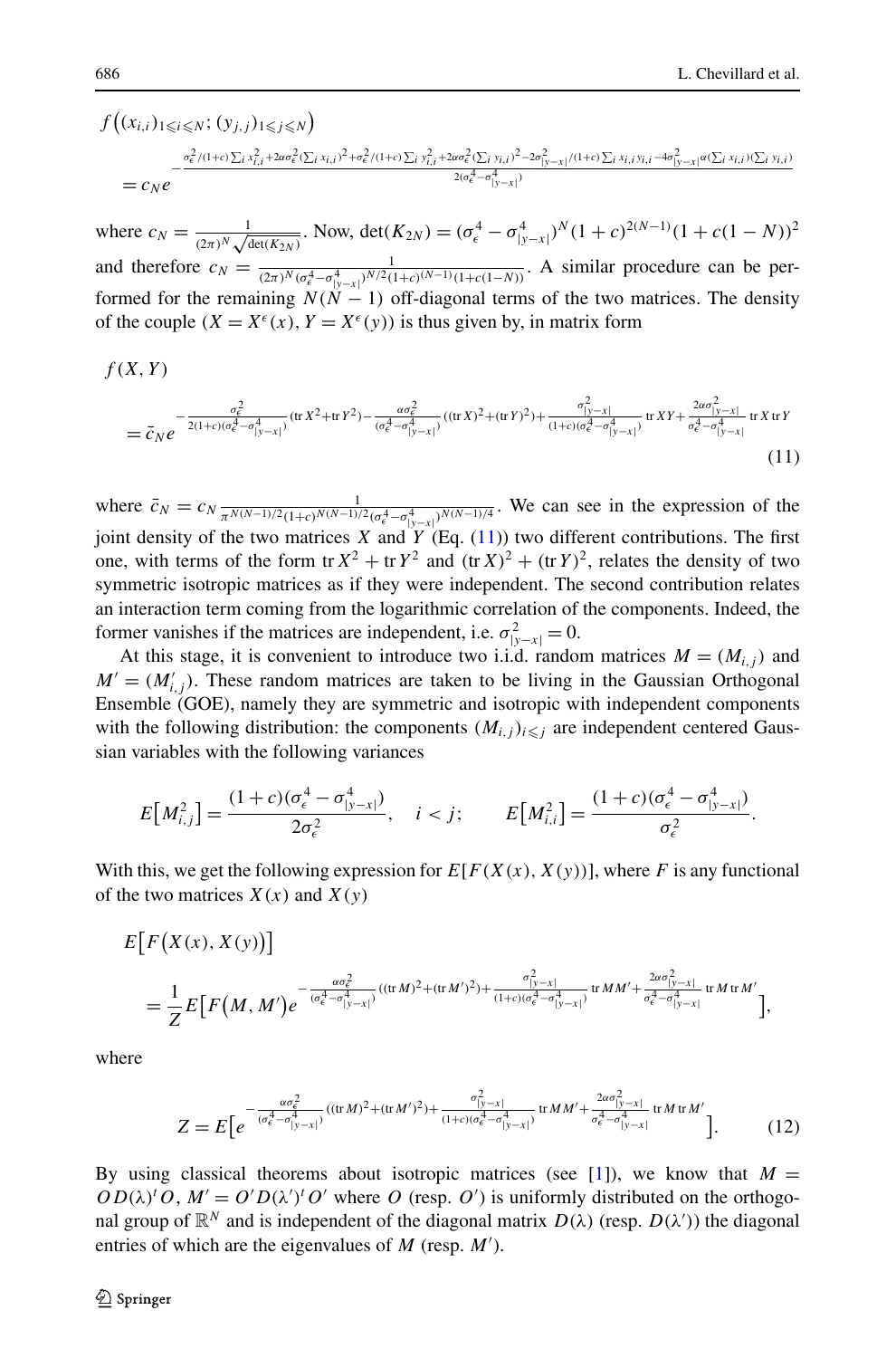$f((x_{i,i})_{1\leq i\leq N}; (y_{j,j})_{1\leq j\leq N})$  $= c_N e$  $-\frac{\sigma_{\epsilon}^2/(1+\epsilon)\sum_{i}x_{i,i}^2+2a\sigma_{\epsilon}^2(\sum_{i}x_{i,i})^2+\sigma_{\epsilon}^2/(1+\epsilon)\sum_{i}y_{i,i}^2+2a\sigma_{\epsilon}^2(\sum_{i}y_{i,i})^2-2\sigma_{|y-x|}^2/(1+\epsilon)\sum_{i}x_{i,i}y_{i,i}-4\sigma_{|y-x|}^2\alpha(\sum_{i}x_{i,i})(\sum_{i}y_{i,i})^2}{2\sigma_{\epsilon}^4+\sigma_{\epsilon}^4}$  $2(\sigma_{\epsilon}^4 - \sigma_{|y-x|}^4)$ 

where  $c_N = \frac{1}{(2\pi)^N \sqrt{\det(K_{2N})}}$ . Now,  $\det(K_{2N}) = (\sigma_{\epsilon}^4 - \sigma_{|y-x|}^4)^N (1+c)^{2(N-1)} (1+c(1-N))^2$ and therefore  $c_N = \frac{1}{(2\pi)^N (\sigma_e^4 - \sigma_{|y-x|}^4)^{N/2} (1+c)^{(N-1)} (1+c(1-N))}$ . A similar procedure can be performed for the remaining  $N(N - 1)$  off-diagonal terms of the two matrices. The density of the couple  $(X = X^{\epsilon}(x), Y = X^{\epsilon}(y))$  is thus given by, in matrix form

$$
f(X,Y)
$$

<span id="page-8-0"></span>
$$
= \bar{c}_N e^{-\frac{\sigma_{\epsilon}^2}{2(1+c)(\sigma_{\epsilon}^4 - \sigma_{|y-x|}^4)}} (\operatorname{tr} X^2 + \operatorname{tr} Y^2) - \frac{\alpha \sigma_{\epsilon}^2}{(\sigma_{\epsilon}^4 - \sigma_{|y-x|}^4)} (\operatorname{tr} X)^2 + (\operatorname{tr} Y)^2) + \frac{\sigma_{|y-x|}^2}{(1+c)(\sigma_{\epsilon}^4 - \sigma_{|y-x|}^4)} \operatorname{tr} XY + \frac{2\alpha \sigma_{|y-x|}^2}{\sigma_{\epsilon}^4 - \sigma_{|y-x|}^4} \operatorname{tr} X \operatorname{tr} Y
$$
\n(11)

where  $\bar{c}_N = c_N \frac{1}{\pi^{N(N-1)/2} (1+c)^{N(N-1)/2} (\sigma_\epsilon^4 - \sigma_{|y-x|}^4)^{N(N-1)/4}}$ . We can see in the expression of the joint density of the two matrices *X* and  $\overline{Y}$  (Eq. ([11](#page-8-0))) two different contributions. The first one, with terms of the form tr  $X^2$  + tr  $Y^2$  and  $(\text{tr }X)^2$  +  $(\text{tr }Y)^2$ , relates the density of two symmetric isotropic matrices as if they were independent. The second contribution relates an interaction term coming from the logarithmic correlation of the components. Indeed, the former vanishes if the matrices are independent, i.e.  $\sigma_{|y-x|}^2 = 0$ .

At this stage, it is convenient to introduce two i.i.d. random matrices  $M = (M_{i,j})$  and  $M' = (M'_{i,j})$ . These random matrices are taken to be living in the Gaussian Orthogonal Ensemble (GOE), namely they are symmetric and isotropic with independent components with the following distribution: the components  $(M_{i,j})_{i \leq j}$  are independent centered Gaussian variables with the following variances

$$
E\big[M_{i,j}^2\big] = \frac{(1+c)(\sigma_{\epsilon}^4 - \sigma_{|y-x|}^4)}{2\sigma_{\epsilon}^2}, \quad i < j; \qquad E\big[M_{i,i}^2\big] = \frac{(1+c)(\sigma_{\epsilon}^4 - \sigma_{|y-x|}^4)}{\sigma_{\epsilon}^2}.
$$

With this, we get the following expression for  $E[F(X(x), X(y))]$ , where *F* is any functional of the two matrices  $X(x)$  and  $\overline{X(y)}$ 

$$
E[F(X(x), X(y))]
$$
  
=  $\frac{1}{Z}E[F(M, M')e^{-\frac{\alpha\sigma_c^2}{(\sigma_c^4 - \sigma_{|y-x|}^4)}((\text{tr }M)^2 + (\text{tr }M')^2) + \frac{\sigma_{|y-x|}^2}{(1+c)(\sigma_c^4 - \sigma_{|y-x|}^4)}\text{tr }M M' + \frac{2\alpha\sigma_{|y-x|}^2}{\sigma_c^4 - \sigma_{|y-x|}^4}\text{tr }M \text{tr }M'}$ 

where

<span id="page-8-1"></span>
$$
Z = E\left[e^{-\frac{\alpha\sigma_{\epsilon}^2}{(\sigma_{\epsilon}^4 - \sigma_{|y-x|}^4)}((\text{tr}\,M)^2 + (\text{tr}\,M')^2) + \frac{\sigma_{|y-x|}^2}{(1+c)(\sigma_{\epsilon}^4 - \sigma_{|y-x|}^4)}\,\text{tr}\,M M' + \frac{2\alpha\sigma_{|y-x|}^2}{\sigma_{\epsilon}^4 - \sigma_{|y-x|}^4}\,\text{tr}\,M\,\text{tr}\,M'\right].\tag{12}
$$

By using classical theorems about isotropic matrices (see [[1](#page-24-2)]), we know that  $M =$  $OD(\lambda)^t$  *O*,  $M' = O'D(\lambda')$ <sup>t</sup> *O'* where *O* (resp. *O'*) is uniformly distributed on the orthogonal group of  $\mathbb{R}^N$  and is independent of the diagonal matrix  $D(\lambda)$  (resp.  $D(\lambda')$ ) the diagonal entries of which are the eigenvalues of *M* (resp. *M'*).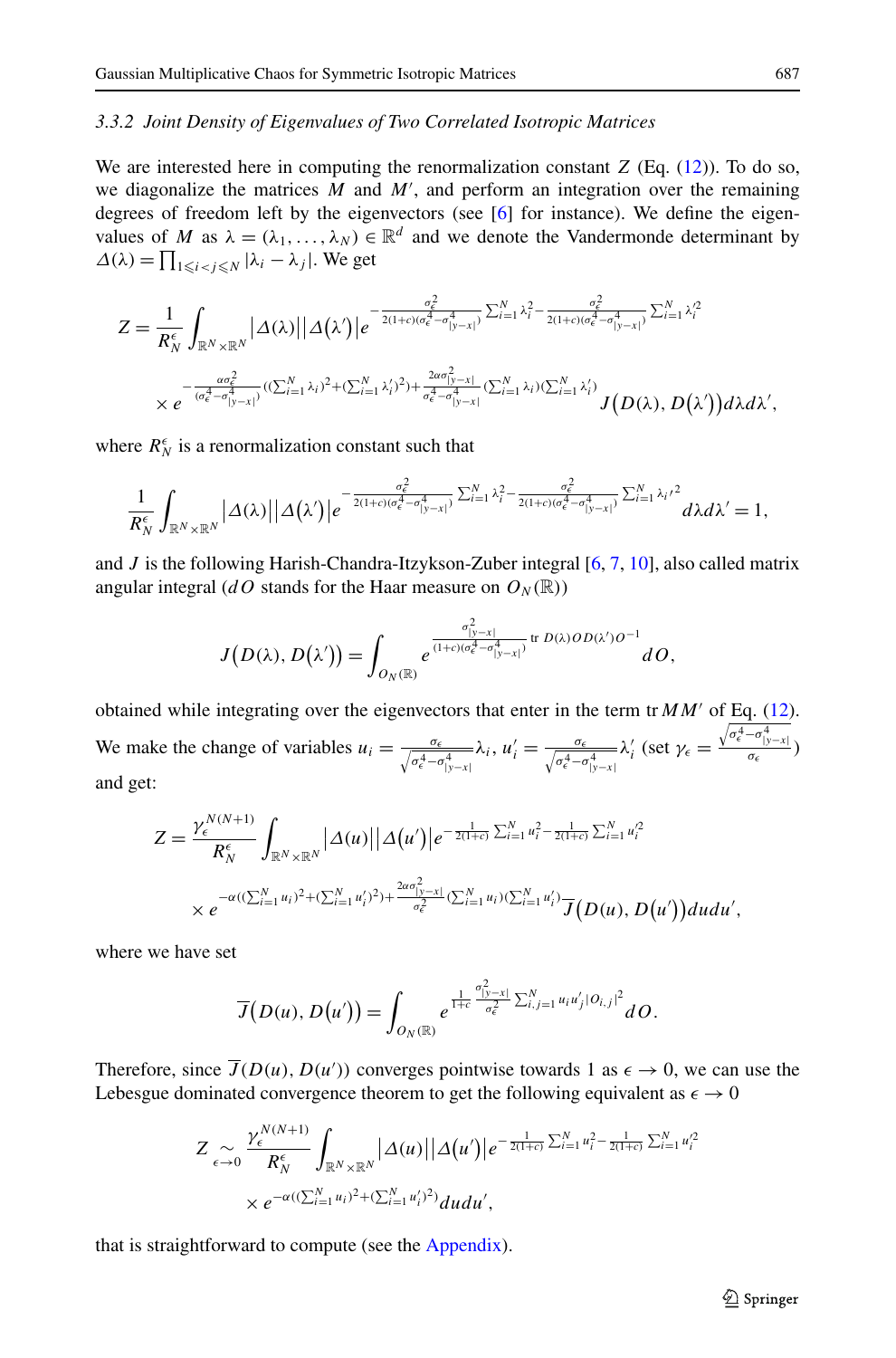## *3.3.2 Joint Density of Eigenvalues of Two Correlated Isotropic Matrices*

We are interested here in computing the renormalization constant *Z* (Eq. [\(12\)](#page-8-1)). To do so, we diagonalize the matrices  $M$  and  $M'$ , and perform an integration over the remaining degrees of freedom left by the eigenvectors (see  $[6]$  for instance). We define the eigenvalues of *M* as  $\lambda = (\lambda_1, \ldots, \lambda_N) \in \mathbb{R}^d$  and we denote the Vandermonde determinant by  $\Delta(\lambda) = \prod_{1 \leq i < j \leq N} |\lambda_i - \lambda_j|$ . We get

$$
Z = \frac{1}{R_N^{\epsilon}} \int_{\mathbb{R}^N \times \mathbb{R}^N} |\Delta(\lambda)| |\Delta(\lambda')| e^{-\frac{\sigma_{\epsilon}^2}{2(1+c)(\sigma_{\epsilon}^4 - \sigma_{|y-x|}^4)} \sum_{i=1}^N \lambda_i^2 - \frac{\sigma_{\epsilon}^2}{2(1+c)(\sigma_{\epsilon}^4 - \sigma_{|y-x|}^4)} \sum_{i=1}^N \lambda_i'^2}
$$

$$
\times e^{-\frac{\alpha \sigma_{\epsilon}^2}{(\sigma_{\epsilon}^4 - \sigma_{|y-x|}^4)} ((\sum_{i=1}^N \lambda_i)^2 + (\sum_{i=1}^N \lambda_i')^2) + \frac{2\alpha \sigma_{|y-x|}^2}{\sigma_{\epsilon}^4 - \sigma_{|y-x|}^4} (\sum_{i=1}^N \lambda_i)(\sum_{i=1}^N \lambda_i')}
$$
 $J(D(\lambda), D(\lambda')) d\lambda d\lambda',$ 

where  $R_N^{\epsilon}$  is a renormalization constant such that

$$
\frac{1}{R_N^{\epsilon}}\int_{\mathbb{R}^N\times\mathbb{R}^N}\big|\Delta(\lambda)\big|\big|\Delta\big(\lambda'\big)\big|e^{-\frac{\sigma_{\epsilon}^2}{2(1+c)(\sigma_{\epsilon}^4-\sigma_{|y-x|}^4)}}\sum_{i=1}^N\lambda_i^2-\frac{\sigma_{\epsilon}^2}{2(1+c)(\sigma_{\epsilon}^4-\sigma_{|y-x|}^4)}\sum_{i=1}^N\lambda_i\lambda_i^2}d\lambda d\lambda'=1,
$$

and  $J$  is the following Harish-Chandra-Itzykson-Zuber integral  $[6, 7, 10]$  $[6, 7, 10]$  $[6, 7, 10]$  $[6, 7, 10]$  $[6, 7, 10]$  $[6, 7, 10]$ , also called matrix angular integral (*dO* stands for the Haar measure on  $O_N(\mathbb{R})$ )

$$
J(D(\lambda), D(\lambda')) = \int_{O_N(\mathbb{R})} e^{\frac{\sigma_{|y-x|}^2}{(1+c)(\sigma_e^4 - \sigma_{|y-x|}^4)} tr D(\lambda) OD(\lambda')O^{-1}} dO,
$$

obtained while integrating over the eigenvectors that enter in the term tr  $MM'$  of Eq. ([12](#page-8-1)). We make the change of variables  $u_i = \frac{\sigma_{\epsilon}}{\sqrt{\sigma_{\epsilon}^4 - \sigma_{|y-x|}^4}} \lambda_i$ ,  $u'_i = \frac{\sigma_{\epsilon}}{\sqrt{\sigma_{\epsilon}^4 - \sigma_{|y-x|}^4}} \lambda'_i$  (set  $\gamma_{\epsilon} = \frac{\sqrt{\sigma_{\epsilon}^4 - \sigma_{|y-x|}^4}}{\sigma_{\epsilon}}$ ) and get:

$$
Z = \frac{\gamma_{\epsilon}^{N(N+1)}}{R_N^{\epsilon}} \int_{\mathbb{R}^N \times \mathbb{R}^N} |\Delta(u)| |\Delta(u')| e^{-\frac{1}{2(1+c)} \sum_{i=1}^N u_i^2 - \frac{1}{2(1+c)} \sum_{i=1}^N u_i'^2}
$$
  
 
$$
\times e^{-\alpha((\sum_{i=1}^N u_i)^2 + (\sum_{i=1}^N u_i')^2) + \frac{2\alpha \sigma_{|y-x|}^2}{\sigma_{\epsilon}^2} (\sum_{i=1}^N u_i)(\sum_{i=1}^N u_i') \mathcal{T}(D(u), D(u')) du du',
$$

where we have set

$$
\overline{J}(D(u), D(u')) = \int_{O_N(\mathbb{R})} e^{\frac{1}{1+c} \frac{\sigma_{|y-x|}^2}{\sigma_e^2} \sum_{i,j=1}^N u_i u_j' |\partial_{i,j}|^2} dO.
$$

Therefore, since  $\overline{J}(D(u), D(u'))$  converges pointwise towards 1 as  $\epsilon \to 0$ , we can use the Lebesgue dominated convergence theorem to get the following equivalent as  $\epsilon \to 0$ 

$$
Z \underset{\epsilon \to 0}{\sim} \frac{\gamma_{\epsilon}^{N(N+1)}}{R_N^{\epsilon}} \int_{\mathbb{R}^N \times \mathbb{R}^N} \left| \Delta(u) \right| \left| \Delta(u') \right| e^{-\frac{1}{2(1+\epsilon)} \sum_{i=1}^N u_i^2 - \frac{1}{2(1+\epsilon)} \sum_{i=1}^N u_i'^2}
$$
  
 
$$
\times e^{-\alpha((\sum_{i=1}^N u_i)^2 + (\sum_{i=1}^N u_i')^2)} dudu',
$$

that is straightforward to compute (see the [Appendix](#page-20-0)).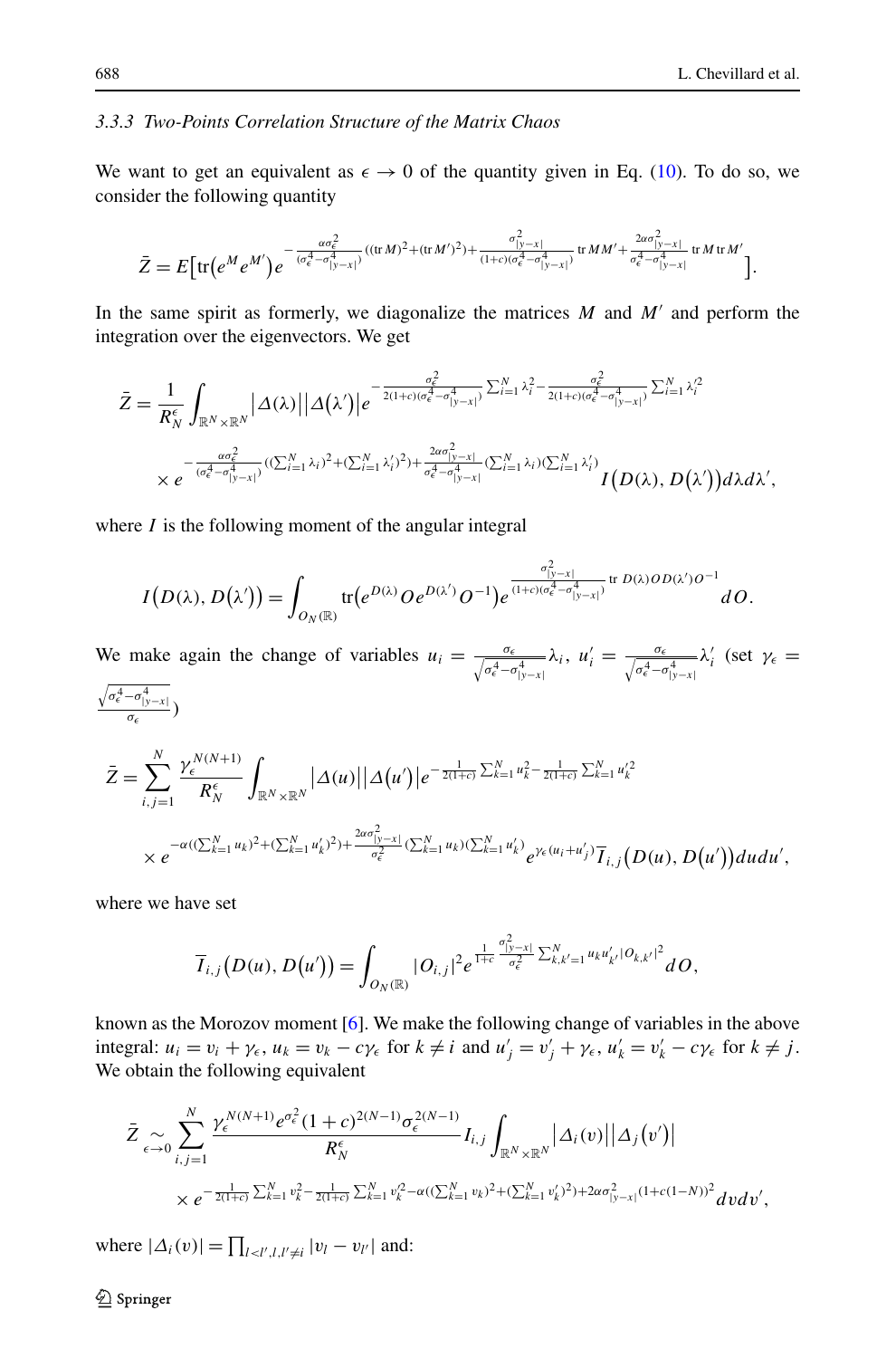#### *3.3.3 Two-Points Correlation Structure of the Matrix Chaos*

We want to get an equivalent as  $\epsilon \to 0$  of the quantity given in Eq. [\(10\)](#page-6-0). To do so, we consider the following quantity

$$
\bar{Z} = E \big[ \text{tr} \big( e^M e^{M'} \big) e^{-\frac{\alpha \sigma_{\epsilon}^2}{(\sigma_{\epsilon}^4 - \sigma_{|y-x|}^4)} ((\text{tr} \, M)^2 + (\text{tr} \, M')^2) + \frac{\sigma_{|y-x|}^2}{(1+c)(\sigma_{\epsilon}^4 - \sigma_{|y-x|}^4)} \text{tr} \, M M' + \frac{2\alpha \sigma_{|y-x|}^2}{\sigma_{\epsilon}^4 - \sigma_{|y-x|}^4} \text{tr} \, M \, \text{tr} \, M' \big] .
$$

In the same spirit as formerly, we diagonalize the matrices  $M$  and  $M'$  and perform the integration over the eigenvectors. We get

$$
\bar{Z} = \frac{1}{R_N^{\epsilon}} \int_{\mathbb{R}^N \times \mathbb{R}^N} |\Delta(\lambda)| |\Delta(\lambda')| e^{-\frac{\sigma_{\epsilon}^2}{2(1+\epsilon)(\sigma_{\epsilon}^4 - \sigma_{|y-x|}^4)} \sum_{i=1}^N \lambda_i^2 - \frac{\sigma_{\epsilon}^2}{2(1+\epsilon)(\sigma_{\epsilon}^4 - \sigma_{|y-x|}^4)} \sum_{i=1}^N \lambda_i'^2}
$$
\n
$$
\times e^{-\frac{a\sigma_{\epsilon}^2}{(\sigma_{\epsilon}^4 - \sigma_{|y-x|}^4)} ((\sum_{i=1}^N \lambda_i)^2 + (\sum_{i=1}^N \lambda_i')^2) + \frac{2\sigma_{|y-x|}^2}{\sigma_{\epsilon}^4 - \sigma_{|y-x|}^4} (\sum_{i=1}^N \lambda_i)(\sum_{i=1}^N \lambda_i')}{I(D(\lambda), D(\lambda'))} d\lambda d\lambda',
$$

where *I* is the following moment of the angular integral

$$
I(D(\lambda), D(\lambda')) = \int_{O_N(\mathbb{R})} tr(e^{D(\lambda)} O e^{D(\lambda')} O^{-1}) e^{\frac{\sigma_{|y-x|}^2}{(1+c)(\sigma_e^4 - \sigma_{|y-x|}^4)} tr D(\lambda) O D(\lambda') O^{-1}} dO.
$$

We make again the change of variables  $u_i = \frac{\sigma_{\epsilon}}{\sqrt{\sigma_{\epsilon}^4 - \sigma_{|y-x|}^4}} \lambda_i$ ,  $u'_i = \frac{\sigma_{\epsilon}}{\sqrt{\sigma_{\epsilon}^4 - \sigma_{|y-x|}^4}} \lambda'_i$  (set  $\gamma_{\epsilon} =$  $\frac{\sqrt{\sigma_{\epsilon}^4-\sigma_{|y-x|}^4}}{\sigma_{\epsilon}}$  $\bar{Z} = \sum_{k=1}^{N} \frac{\gamma_{\epsilon}^{N(N+1)}}{R_{\epsilon}^{N(N+1)}}$  $\overline{1}$  $\int_{\mathbb{R}^N\times\mathbb{R}^N}|\Delta(u)|\big|\Delta(u')\big|e^{-\frac{1}{2(1+c)}\sum_{k=1}^N u_k^2-\frac{1}{2(1+c)}\sum_{k=1}^N u_k'^2}$ 

$$
\sum_{i,j=1}^{\ell} R_N^{\epsilon} \int_{\mathbb{R}^N \times \mathbb{R}^N} |\Delta(w)| |\Delta(w)|^{\epsilon} \leq C
$$
\n
$$
\times e^{-\alpha((\sum_{k=1}^N u_k)^2 + (\sum_{k=1}^N u_k')^2) + \frac{2\alpha \sigma_{|y-x|}^2}{\sigma_{\epsilon}^2} (\sum_{k=1}^N u_k)(\sum_{k=1}^N u_k') \sum_{\ell \neq (u_i + u_j')} \overline{T}_{i,j} (D(u), D(u')) du du',
$$

where we have set

$$
\overline{I}_{i,j}(D(u),D(u')) = \int_{O_N(\mathbb{R})} |O_{i,j}|^2 e^{\frac{1}{1+c} \frac{\sigma_{1y-xl}^2}{\sigma_{\epsilon}^2} \sum_{k,k'=1}^N u_k u'_{k'} |O_{k,k'}|^2} dO,
$$

known as the Morozov moment [[6\]](#page-25-19). We make the following change of variables in the above integral:  $u_i = v_i + \gamma_{\epsilon}$ ,  $u_k = v_k - c\gamma_{\epsilon}$  for  $k \neq i$  and  $u'_j = v'_j + \gamma_{\epsilon}$ ,  $u'_k = v'_k - c\gamma_{\epsilon}$  for  $k \neq j$ . We obtain the following equivalent

$$
\bar{Z}_{\epsilon \to 0} \sum_{i,j=1}^{N} \frac{\gamma_{\epsilon}^{N(N+1)} e^{\sigma_{\epsilon}^{2}} (1+c)^{2(N-1)} \sigma_{\epsilon}^{2(N-1)}}{R_{N}^{\epsilon}} I_{i,j} \int_{\mathbb{R}^{N} \times \mathbb{R}^{N}} |\Delta_{i}(v)| |\Delta_{j}(v')|
$$
\n
$$
\times e^{-\frac{1}{2(1+c)} \sum_{k=1}^{N} v_{k}^{2} - \frac{1}{2(1+c)} \sum_{k=1}^{N} v_{k}^{2} - \alpha((\sum_{k=1}^{N} v_{k})^{2} + (\sum_{k=1}^{N} v_{k}')^{2}) + 2\alpha \sigma_{|y-x|}^{2}(1+c(1-N))^{2}} dvdv',
$$

where  $|\Delta_i(v)| = \prod_{l \lt l',l,l' \neq i} |v_l - v_{l'}|$  and: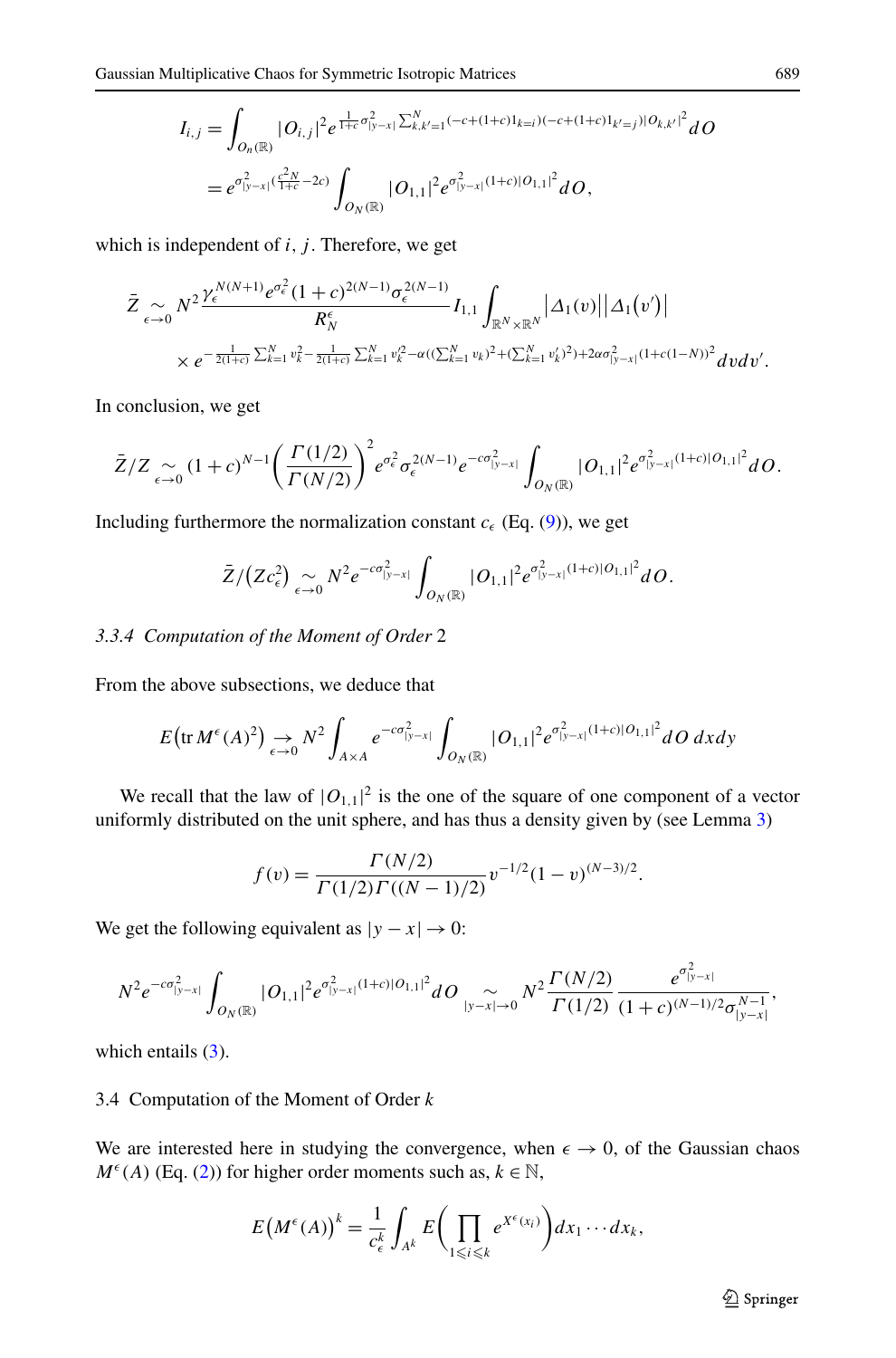$$
I_{i,j} = \int_{O_n(\mathbb{R})} |O_{i,j}|^2 e^{\frac{1}{1+c}\sigma_{|y-x|}^2 \sum_{k,k'=1}^N (-c+(1+c)I_{k=i})(-c+(1+c)I_{k'=j})|\Theta_{k,k'}|^2} dO
$$
  
=  $e^{\sigma_{|y-x|}^2(\frac{c^2N}{1+c}-2c)} \int_{O_N(\mathbb{R})} |O_{1,1}|^2 e^{\sigma_{|y-x|}^2(1+c)|O_{1,1}|^2} dO,$ 

which is independent of  $i$ ,  $j$ . Therefore, we get

$$
\bar{Z}_{\epsilon \to 0} N^2 \frac{\gamma_{\epsilon}^{N(N+1)} e^{\sigma_{\epsilon}^2} (1+c)^{2(N-1)} \sigma_{\epsilon}^{2(N-1)}}{R_N^{\epsilon}} I_{1,1} \int_{\mathbb{R}^N \times \mathbb{R}^N} |\Delta_1(v)| |\Delta_1(v')|
$$
  
 
$$
\times e^{-\frac{1}{2(1+c)} \sum_{k=1}^N v_k^2 - \frac{1}{2(1+c)} \sum_{k=1}^N v_k^2 - \alpha((\sum_{k=1}^N v_k)^2 + (\sum_{k=1}^N v_k')^2) + 2\alpha \sigma_{|y-x|}^2 (1+c(1-N))^2} dv dv'.
$$

In conclusion, we get

$$
\bar{Z}/Z \underset{\epsilon \to 0}{\sim} (1+c)^{N-1} \bigg( \frac{\Gamma(1/2)}{\Gamma(N/2)} \bigg)^2 e^{\sigma_{\epsilon}^2} \sigma_{\epsilon}^{2(N-1)} e^{-c\sigma_{|y-x|}^2} \int_{O_N(\mathbb{R})} |O_{1,1}|^2 e^{\sigma_{|y-x|}^2 (1+c)|O_{1,1}|^2} dO.
$$

Including furthermore the normalization constant  $c_{\epsilon}$  (Eq. ([9\)](#page-6-1)), we get

$$
\bar{Z}/(Zc_{\epsilon}^2) \underset{\epsilon \to 0}{\sim} N^2 e^{-c\sigma_{|y-x|}^2} \int_{O_N(\mathbb{R})} |O_{1,1}|^2 e^{\sigma_{|y-x|}^2(1+c)|O_{1,1}|^2} dO.
$$

#### *3.3.4 Computation of the Moment of Order* 2

From the above subsections, we deduce that

$$
E\big(\text{tr}\,M^{\epsilon}(A)^2\big) \underset{\epsilon \to 0}{\to} N^2 \int_{A \times A} e^{-c\sigma_{|y-x|}^2} \int_{O_N(\mathbb{R})} |O_{1,1}|^2 e^{\sigma_{|y-x|}^2(1+c)|O_{1,1}|^2} dO \,dxdy
$$

We recall that the law of  $|O_{1,1}|^2$  is the one of the square of one component of a vector uniformly distributed on the unit sphere, and has thus a density given by (see Lemma [3\)](#page-21-0)

$$
f(v) = \frac{\Gamma(N/2)}{\Gamma(1/2)\Gamma((N-1)/2)} v^{-1/2} (1-v)^{(N-3)/2}.
$$

We get the following equivalent as  $|y - x| \to 0$ :

$$
N^2 e^{-c\sigma_{|y-x|}^2} \int_{O_N(\mathbb{R})} |O_{1,1}|^2 e^{\sigma_{|y-x|}^2 (1+c)|O_{1,1}|^2} dO \underset{|y-x|\to 0}{\sim} N^2 \frac{\Gamma(N/2)}{\Gamma(1/2)} \frac{e^{\sigma_{|y-x|}^2}}{(1+c)^{(N-1)/2} \sigma_{|y-x|}^{N-1}},
$$

which entails  $(3)$  $(3)$  $(3)$ .

#### 3.4 Computation of the Moment of Order *k*

We are interested here in studying the convergence, when  $\epsilon \to 0$ , of the Gaussian chaos  $M^{\epsilon}(A)$  (Eq. ([2\)](#page-3-0)) for higher order moments such as,  $k \in \mathbb{N}$ ,

$$
E(M^{\epsilon}(A))^{k} = \frac{1}{c_{\epsilon}^{k}} \int_{A^{k}} E\bigg(\prod_{1 \leq i \leq k} e^{X^{\epsilon}(x_{i})}\bigg) dx_{1} \cdots dx_{k},
$$

2 Springer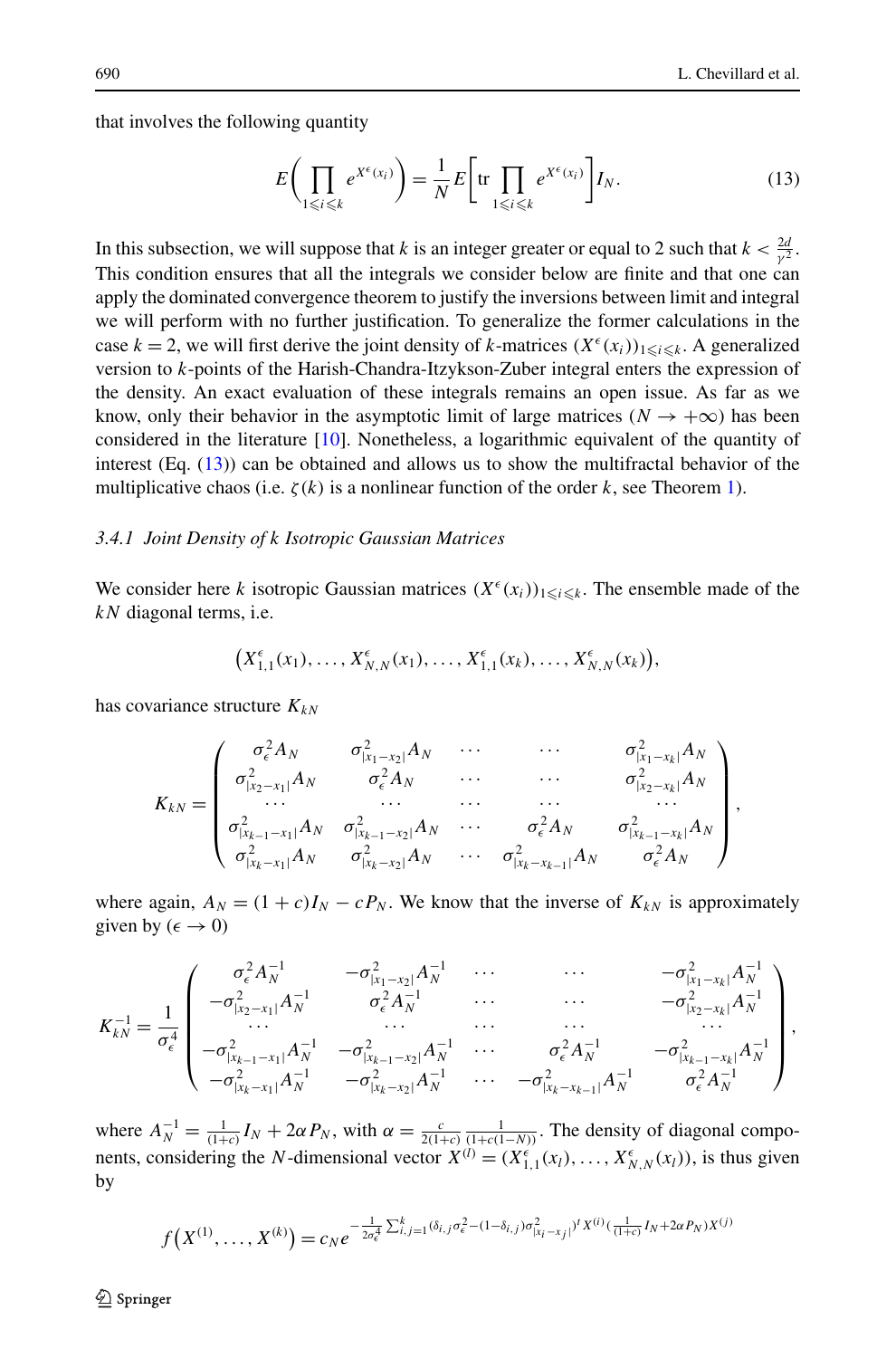that involves the following quantity

<span id="page-12-0"></span>
$$
E\left(\prod_{1\leq i\leq k} e^{X^{\epsilon}(x_i)}\right) = \frac{1}{N} E\left[\text{tr}\prod_{1\leq i\leq k} e^{X^{\epsilon}(x_i)}\right] I_N. \tag{13}
$$

In this subsection, we will suppose that *k* is an integer greater or equal to 2 such that  $k < \frac{2d}{\gamma^2}$ . This condition ensures that all the integrals we consider below are finite and that one can apply the dominated convergence theorem to justify the inversions between limit and integral we will perform with no further justification. To generalize the former calculations in the case  $k = 2$ , we will first derive the joint density of *k*-matrices  $(X^{\epsilon}(x_i))_{1 \leq i \leq k}$ . A generalized version to *k*-points of the Harish-Chandra-Itzykson-Zuber integral enters the expression of the density. An exact evaluation of these integrals remains an open issue. As far as we know, only their behavior in the asymptotic limit of large matrices ( $N \rightarrow +\infty$ ) has been considered in the literature [\[10\]](#page-25-21). Nonetheless, a logarithmic equivalent of the quantity of interest  $(Eq. (13))$  $(Eq. (13))$  $(Eq. (13))$  can be obtained and allows us to show the multifractal behavior of the multiplicative chaos (i.e.  $\zeta(k)$  is a nonlinear function of the order k, see Theorem [1](#page-3-2)).

#### *3.4.1 Joint Density of k Isotropic Gaussian Matrices*

We consider here *k* isotropic Gaussian matrices  $(X^{\epsilon}(x_i))_{1 \leq i \leq k}$ . The ensemble made of the *kN* diagonal terms, i.e.

$$
(X_{1,1}^{\epsilon}(x_1),...,X_{N,N}^{\epsilon}(x_1),...,X_{1,1}^{\epsilon}(x_k),...,X_{N,N}^{\epsilon}(x_k)),
$$

has covariance structure  $K_{kN}$ 

$$
K_{kN} = \begin{pmatrix} \sigma_{\epsilon}^{2} A_{N} & \sigma_{|x_{1}-x_{2}|}^{2} A_{N} & \cdots & \cdots & \sigma_{|x_{1}-x_{k}|}^{2} A_{N} \\ \sigma_{|x_{2}-x_{1}|}^{2} A_{N} & \sigma_{\epsilon}^{2} A_{N} & \cdots & \cdots & \sigma_{|x_{2}-x_{k}|}^{2} A_{N} \\ \cdots & \cdots & \cdots & \cdots & \cdots \\ \sigma_{|x_{k-1}-x_{1}|}^{2} A_{N} & \sigma_{|x_{k-1}-x_{2}|}^{2} A_{N} & \cdots & \sigma_{\epsilon}^{2} A_{N} & \sigma_{|x_{k-1}-x_{k}|}^{2} A_{N} \\ \sigma_{|x_{k}-x_{1}|}^{2} A_{N} & \sigma_{|x_{k}-x_{2}|}^{2} A_{N} & \cdots & \sigma_{|x_{k}-x_{k-1}|}^{2} A_{N} & \sigma_{\epsilon}^{2} A_{N} \end{pmatrix},
$$

where again,  $A_N = (1 + c)I_N - cP_N$ . We know that the inverse of  $K_{kN}$  is approximately given by  $(\epsilon \to 0)$ 

$$
K_{kN}^{-1} = \frac{1}{\sigma_{\epsilon}^2} \begin{pmatrix} \sigma_{\epsilon}^2 A_N^{-1} & -\sigma_{|x_1-x_2|}^2 A_N^{-1} & \cdots & \cdots & -\sigma_{|x_1-x_k|}^2 A_N^{-1} \\ -\sigma_{|x_2-x_1|}^2 A_N^{-1} & \sigma_{\epsilon}^2 A_N^{-1} & \cdots & \cdots & -\sigma_{|x_2-x_k|}^2 A_N^{-1} \\ \cdots & \cdots & \cdots & \cdots & \cdots \\ -\sigma_{|x_{k-1}-x_1|}^2 A_N^{-1} & -\sigma_{|x_{k-1}-x_2|}^2 A_N^{-1} & \cdots & \sigma_{\epsilon}^2 A_N^{-1} & -\sigma_{|x_{k-1}-x_k|}^2 A_N^{-1} \\ -\sigma_{|x_k-x_1|}^2 A_N^{-1} & -\sigma_{|x_k-x_2|}^2 A_N^{-1} & \cdots & -\sigma_{|x_k-x_{k-1}|}^2 A_N^{-1} & \sigma_{\epsilon}^2 A_N^{-1} \end{pmatrix},
$$

where  $A_N^{-1} = \frac{1}{(1+c)} I_N + 2\alpha P_N$ , with  $\alpha = \frac{c}{2(1+c)} \frac{1}{(1+c(1-N))}$ . The density of diagonal components, considering the *N*-dimensional vector  $X^{(l)} = (X_{1,1}^{\epsilon}(x_l), \dots, X_{N,N}^{\epsilon}(x_l))$ , is thus given by

$$
f(X^{(1)},...,X^{(k)})=c_N e^{-\frac{1}{2\sigma_\epsilon^4}\sum_{i,j=1}^k(\delta_{i,j}\sigma_\epsilon^2-(1-\delta_{i,j})\sigma_{|X_i-X_j|}^2)^t X^{(i)}(\frac{1}{(1+\epsilon)}I_N+2\alpha P_N)X^{(j)}}
$$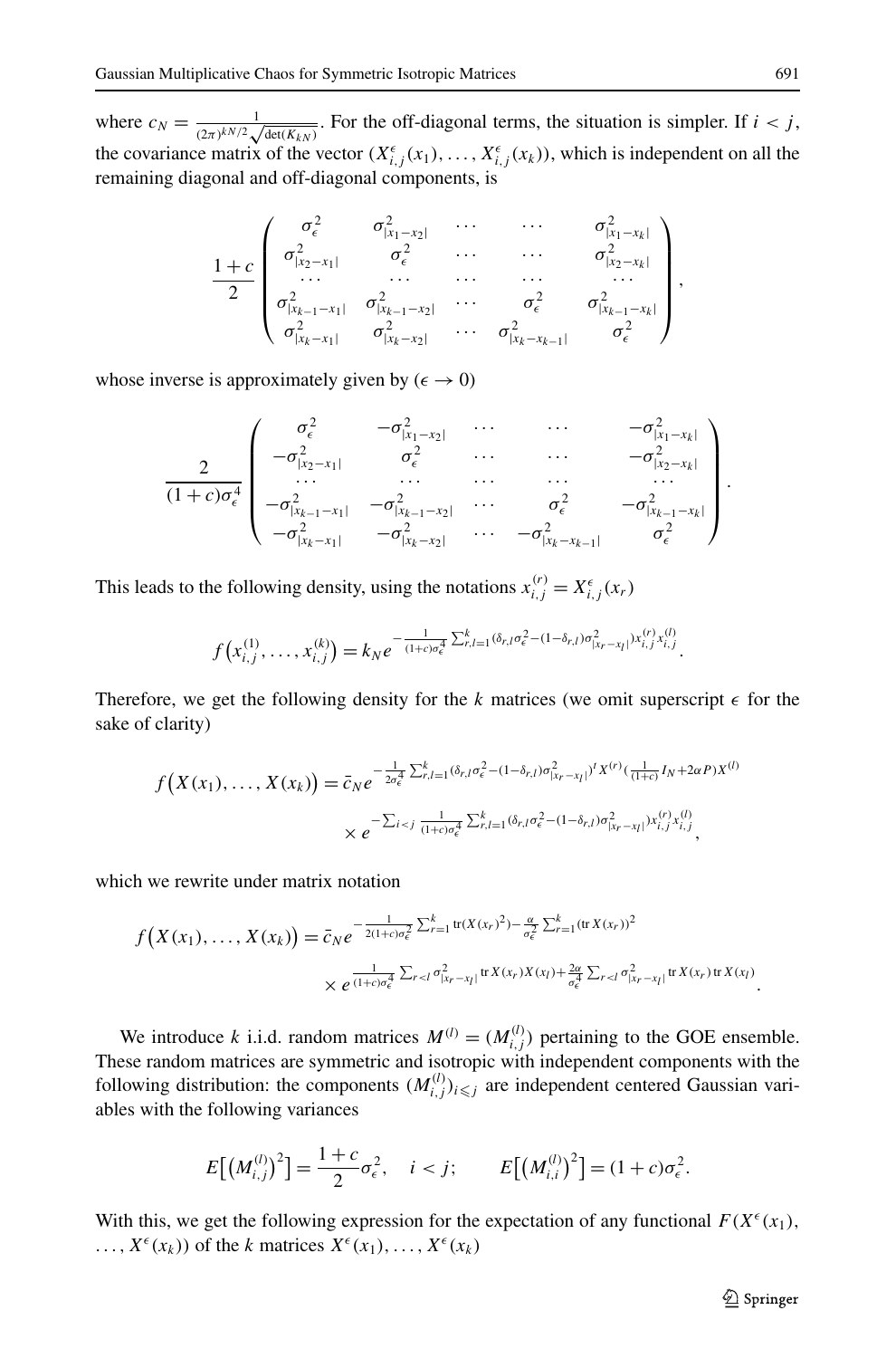where  $c_N = \frac{1}{(2\pi)^{kN/2} \sqrt{\det(K_{kN})}}$ . For the off-diagonal terms, the situation is simpler. If  $i < j$ , the covariance matrix of the vector  $(X_{i,j}^{\epsilon}(x_1),...,X_{i,j}^{\epsilon}(x_k))$ , which is independent on all the remaining diagonal and off-diagonal components, is

$$
\frac{1+c}{2}\begin{pmatrix} \sigma_{\epsilon}^2 & \sigma_{|x_1-x_2|}^2 & \cdots & \cdots & \sigma_{|x_1-x_k|}^2 \\ \sigma_{|x_2-x_1|}^2 & \sigma_{\epsilon}^2 & \cdots & \cdots & \sigma_{|x_2-x_k|}^2 \\ \cdots & \cdots & \cdots & \cdots & \cdots \\ \sigma_{|x_{k-1}-x_1|}^2 & \sigma_{|x_{k-1}-x_2|}^2 & \cdots & \sigma_{\epsilon}^2 & \sigma_{|x_{k-1}-x_k|}^2 \\ \sigma_{|x_k-x_1|}^2 & \sigma_{|x_k-x_2|}^2 & \cdots & \sigma_{|x_k-x_{k-1}|}^2 & \sigma_{\epsilon}^2 \end{pmatrix},
$$

whose inverse is approximately given by  $(\epsilon \to 0)$ 

$$
\frac{2}{(1+c)\sigma_{\epsilon}^{4}}\begin{pmatrix} \sigma_{\epsilon}^{2} & -\sigma_{|x_{1}-x_{2}|}^{2} & \cdots & \cdots & -\sigma_{|x_{1}-x_{k}|}^{2} \\ -\sigma_{|x_{2}-x_{1}|}^{2} & \sigma_{\epsilon}^{2} & \cdots & \cdots & -\sigma_{|x_{2}-x_{k}|}^{2} \\ \cdots & \cdots & \cdots & \cdots & \cdots \\ -\sigma_{|x_{k-1}-x_{1}|}^{2} & -\sigma_{|x_{k-1}-x_{2}|}^{2} & \cdots & \sigma_{\epsilon}^{2} & -\sigma_{|x_{k-1}-x_{k}|}^{2} \\ -\sigma_{|x_{k}-x_{1}|}^{2} & -\sigma_{|x_{k}-x_{2}|}^{2} & \cdots & -\sigma_{|x_{k}-x_{k-1}|}^{2} & \sigma_{\epsilon}^{2} \end{pmatrix}.
$$

This leads to the following density, using the notations  $x_{i,j}^{(r)} = X_{i,j}^{\epsilon}(x_r)$ 

$$
f(x_{i,j}^{(1)},\ldots,x_{i,j}^{(k)})=k_N e^{-\frac{1}{(1+c)\sigma_{\epsilon}^4}\sum_{r,l=1}^k(\delta_{r,l}\sigma_{\epsilon}^2-(1-\delta_{r,l})\sigma_{|x_r-x_l|}^2)x_{i,j}^{(r)},x_{i,j}^{(l)}}.
$$

Therefore, we get the following density for the k matrices (we omit superscript  $\epsilon$  for the sake of clarity)

$$
f(X(x_1),...,X(x_k)) = \bar{c}_N e^{-\frac{1}{2\sigma_{\epsilon}^4} \sum_{r,l=1}^k (\delta_{r,l}\sigma_{\epsilon}^2 - (1-\delta_{r,l})\sigma_{|x_r-x_l|}^2)^t X^{(r)}(\frac{1}{(1+c)}I_N + 2\alpha P)X^{(l)}} \times e^{-\sum_{i < j} \frac{1}{(1+c)\sigma_{\epsilon}^4} \sum_{r,l=1}^k (\delta_{r,l}\sigma_{\epsilon}^2 - (1-\delta_{r,l})\sigma_{|x_r-x_l|}^2)^{x_{i,j}^{(r)}x_{i,j}^{(l)}}},
$$

which we rewrite under matrix notation

$$
f(X(x_1),...,X(x_k)) = \bar{c}_N e^{-\frac{1}{2(1+c)\sigma_{\epsilon}^2} \sum_{r=1}^k \text{tr}(X(x_r)^2) - \frac{\alpha}{\sigma_{\epsilon}^2} \sum_{r=1}^k (\text{tr} X(x_r))^2}
$$
  
 
$$
\times e^{\frac{1}{(1+c)\sigma_{\epsilon}^4} \sum_{r
$$

We introduce *k* i.i.d. random matrices  $M^{(l)} = (M^{(l)}_{i,j})$  pertaining to the GOE ensemble. These random matrices are symmetric and isotropic with independent components with the following distribution: the components  $(M_{i,j}^{(l)})_{i \leqslant j}$  are independent centered Gaussian variables with the following variances

$$
E[(M_{i,j}^{(l)})^2] = \frac{1+c}{2}\sigma_{\epsilon}^2, \quad i < j; \qquad E[(M_{i,i}^{(l)})^2] = (1+c)\sigma_{\epsilon}^2.
$$

With this, we get the following expression for the expectation of any functional  $F(X^{\epsilon}(x_1))$ ,  $X^{\epsilon}(x_k)$  of the *k* matrices  $X^{\epsilon}(x_1), \ldots, X^{\epsilon}(x_k)$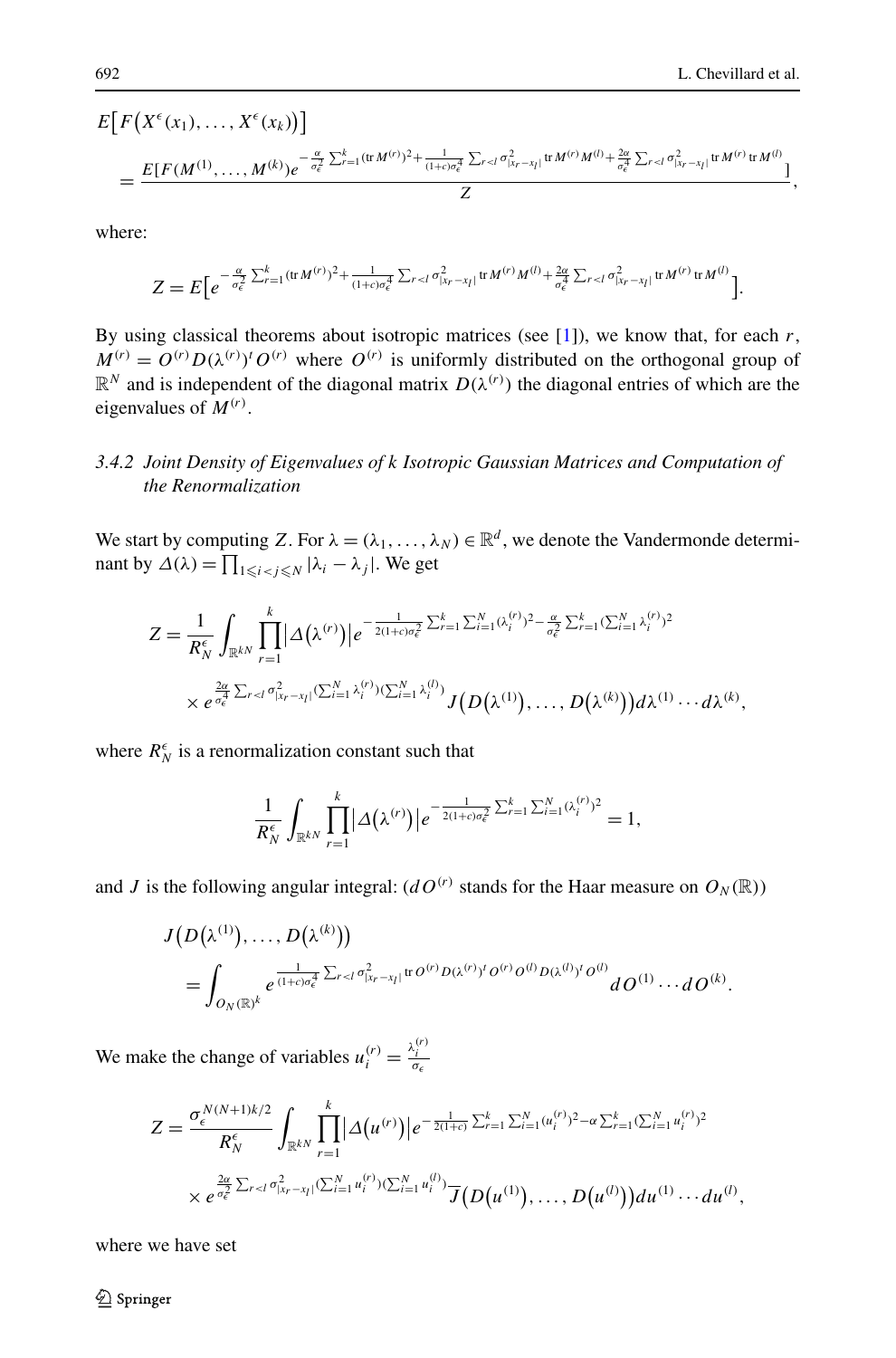$$
E\big[F\big(X^{\epsilon}(x_{1}),\ldots,X^{\epsilon}(x_{k})\big)\big] \\
= \frac{E[F(M^{(1)},\ldots,M^{(k)})e^{-\frac{\alpha}{\sigma_{\epsilon}^{2}}\sum_{r=1}^{k}(\text{tr}\,M^{(r)})^{2}+\frac{1}{(1+c)\sigma_{\epsilon}^{4}}\sum_{r
$$

where:

$$
Z = E\Big[e^{-\frac{\alpha}{\sigma_{\epsilon}^2}\sum_{r=1}^k(\text{tr}\,M^{(r)})^2 + \frac{1}{(1+c)\sigma_{\epsilon}^4}\sum_{r
$$

By using classical theorems about isotropic matrices (see [[1\]](#page-24-2)), we know that, for each *r*,  $M^{(r)} = O^{(r)} D(\lambda^{(r)})^t O^{(r)}$  where  $O^{(r)}$  is uniformly distributed on the orthogonal group of  $\mathbb{R}^N$  and is independent of the diagonal matrix  $D(\lambda^{(r)})$  the diagonal entries of which are the eigenvalues of *M(r)*.

## *3.4.2 Joint Density of Eigenvalues of k Isotropic Gaussian Matrices and Computation of the Renormalization*

We start by computing *Z*. For  $\lambda = (\lambda_1, \dots, \lambda_N) \in \mathbb{R}^d$ , we denote the Vandermonde determinant by  $\Delta(\lambda) = \prod_{1 \leq i < j \leq N} |\lambda_i - \lambda_j|$ . We get

$$
Z = \frac{1}{R_N^{\epsilon}} \int_{\mathbb{R}^{kN}} \prod_{r=1}^k |\Delta(\lambda^{(r)})| e^{-\frac{1}{2(1+c)\sigma_{\epsilon}^2} \sum_{r=1}^k \sum_{i=1}^N (\lambda_i^{(r)})^2 - \frac{\alpha}{\sigma_{\epsilon}^2} \sum_{r=1}^k (\sum_{i=1}^N \lambda_i^{(r)})^2} \times e^{\frac{2\alpha}{\sigma_{\epsilon}^2} \sum_{r
$$

where  $R_N^{\epsilon}$  is a renormalization constant such that

$$
\frac{1}{R_N^{\epsilon}}\int_{\mathbb{R}^{kN}}\prod_{r=1}^k|\Delta(\lambda^{(r)})|e^{-\frac{1}{2(1+c)\sigma_{\epsilon}^2}\sum_{r=1}^k\sum_{i=1}^N(\lambda_i^{(r)})^2}=1,
$$

and *J* is the following angular integral:  $(dO^{(r)})$  stands for the Haar measure on  $O_N(\mathbb{R})$ )

$$
J(D(\lambda^{(1)}),...,D(\lambda^{(k)}))
$$
  
= 
$$
\int_{O_N(\mathbb{R})^k} e^{\frac{1}{(1+c)\sigma_{\epsilon}^4} \sum_{r
$$

We make the change of variables  $u_i^{(r)} = \frac{\lambda_i^{(r)}}{\sigma_{\epsilon}}$ 

$$
Z = \frac{\sigma_{\epsilon}^{N(N+1)k/2}}{R_N^{\epsilon}} \int_{\mathbb{R}^{kN}} \prod_{r=1}^k |\Delta(u^{(r)})| e^{-\frac{1}{2(1+c)} \sum_{r=1}^k \sum_{i=1}^N (u_i^{(r)})^2 - \alpha \sum_{r=1}^k (\sum_{i=1}^N u_i^{(r)})^2} \times e^{\frac{2\alpha}{\sigma_{\epsilon}^2} \sum_{r < l} \sigma_{|x_r - x_l|}^2 (\sum_{i=1}^N u_i^{(r)}) (\sum_{i=1}^N u_i^{(l)})} \overline{J}(D(u^{(1)}), \ldots, D(u^{(l)})) du^{(1)} \cdots du^{(l)},
$$

where we have set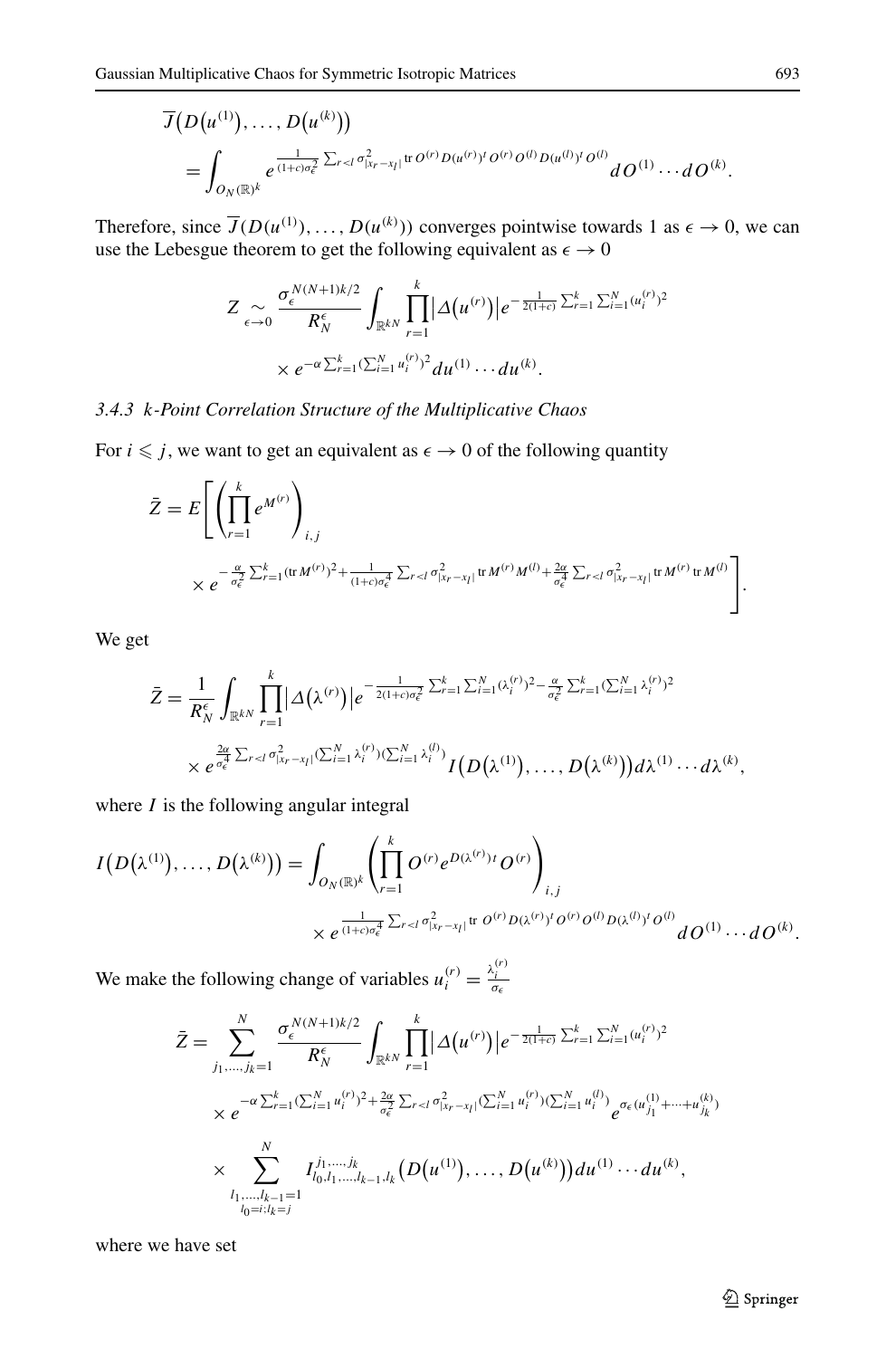$$
\overline{J}(D(u^{(1)}),...,D(u^{(k)}))
$$
\n
$$
=\int_{O_N(\mathbb{R})^k} e^{\frac{1}{(1+c)\sigma_{\epsilon}^2}\sum_{r
$$

Therefore, since  $\overline{J}(D(u^{(1)}), \ldots, D(u^{(k)}))$  converges pointwise towards 1 as  $\epsilon \to 0$ , we can use the Lebesgue theorem to get the following equivalent as  $\epsilon \to 0$ 

$$
Z \underset{\epsilon \to 0}{\sim} \frac{\sigma_{\epsilon}^{N(N+1)k/2}}{R_N^{\epsilon}} \int_{\mathbb{R}^{kN}} \prod_{r=1}^{k} |\Delta(u^{(r)})| e^{-\frac{1}{2(1+c)} \sum_{r=1}^{k} \sum_{i=1}^{N} (u_i^{(r)})^2}
$$

$$
\times e^{-\alpha \sum_{r=1}^{k} (\sum_{i=1}^{N} u_i^{(r)})^2} du^{(1)} \cdots du^{(k)}.
$$

## *3.4.3 k-Point Correlation Structure of the Multiplicative Chaos*

For  $i \leq j$ , we want to get an equivalent as  $\epsilon \to 0$  of the following quantity

$$
\bar{Z} = E \left[ \left( \prod_{r=1}^{k} e^{M^{(r)}} \right)_{i,j} \times e^{-\frac{\alpha}{\sigma_{\epsilon}^{2}} \sum_{r=1}^{k} (\text{tr} M^{(r)})^{2} + \frac{1}{(1+c)\sigma_{\epsilon}^{4}} \sum_{r < l} \sigma_{|x_{r}-x_{l}|}^{2} \text{tr} M^{(r)} M^{(l)} + \frac{2\alpha}{\sigma_{\epsilon}^{4}} \sum_{r < l} \sigma_{|x_{r}-x_{l}|}^{2} \text{tr} M^{(r)} \text{tr} M^{(l)}} \right].
$$

We get

$$
\bar{Z} = \frac{1}{R_N^{\epsilon}} \int_{\mathbb{R}^{kN}} \prod_{r=1}^k |\Delta(\lambda^{(r)})| e^{-\frac{1}{2(1+c)\sigma_{\epsilon}^2} \sum_{r=1}^k \sum_{i=1}^N (\lambda_i^{(r)})^2 - \frac{\alpha}{\sigma_{\epsilon}^2} \sum_{r=1}^k (\sum_{i=1}^N \lambda_i^{(r)})^2} \times e^{\frac{2\alpha}{\sigma_{\epsilon}^2} \sum_{r
$$

where *I* is the following angular integral

$$
I(D(\lambda^{(1)}),...,D(\lambda^{(k)})) = \int_{O_N(\mathbb{R})^k} \left( \prod_{r=1}^k O^{(r)} e^{D(\lambda^{(r)})t} O^{(r)} \right)_{i,j}
$$
  
 
$$
\times e^{\frac{1}{(1+c)\sigma_e^4} \sum_{r \prec l} \sigma_{|x_r-x_l|}^2 \text{tr } O^{(r)} D(\lambda^{(r)})^t O^{(r)} O^{(l)} D(\lambda^{(l)})^t O^{(l)}} dO^{(1)} \cdots dO^{(k)}.
$$

We make the following change of variables  $u_i^{(r)} = \frac{\lambda_i^{(r)}}{\sigma_{\epsilon}}$ 

$$
\bar{Z} = \sum_{j_1,\dots,j_k=1}^N \frac{\sigma_\epsilon^{N(N+1)k/2}}{R_N^{\epsilon}} \int_{\mathbb{R}^{kN}} \prod_{r=1}^k |\Delta(u^{(r)})| e^{-\frac{1}{2(1+c)} \sum_{r=1}^k \sum_{i=1}^N (u_i^{(r)})^2}
$$
\n
$$
\times e^{-\alpha \sum_{r=1}^k (\sum_{i=1}^N u_i^{(r)})^2 + \frac{2\alpha}{\sigma_\epsilon^2} \sum_{r\n
$$
\times \sum_{\substack{l_1,\dots,l_{k-1}=1\\l_0=i; l_k=j}}^{N} I_{l_0, l_1, \dots, l_{k-1}, l_k}^{j_1, \dots, j_k} (D(u^{(1)}), \dots, D(u^{(k)})) du^{(1)} \dots du^{(k)},
$$
$$

where we have set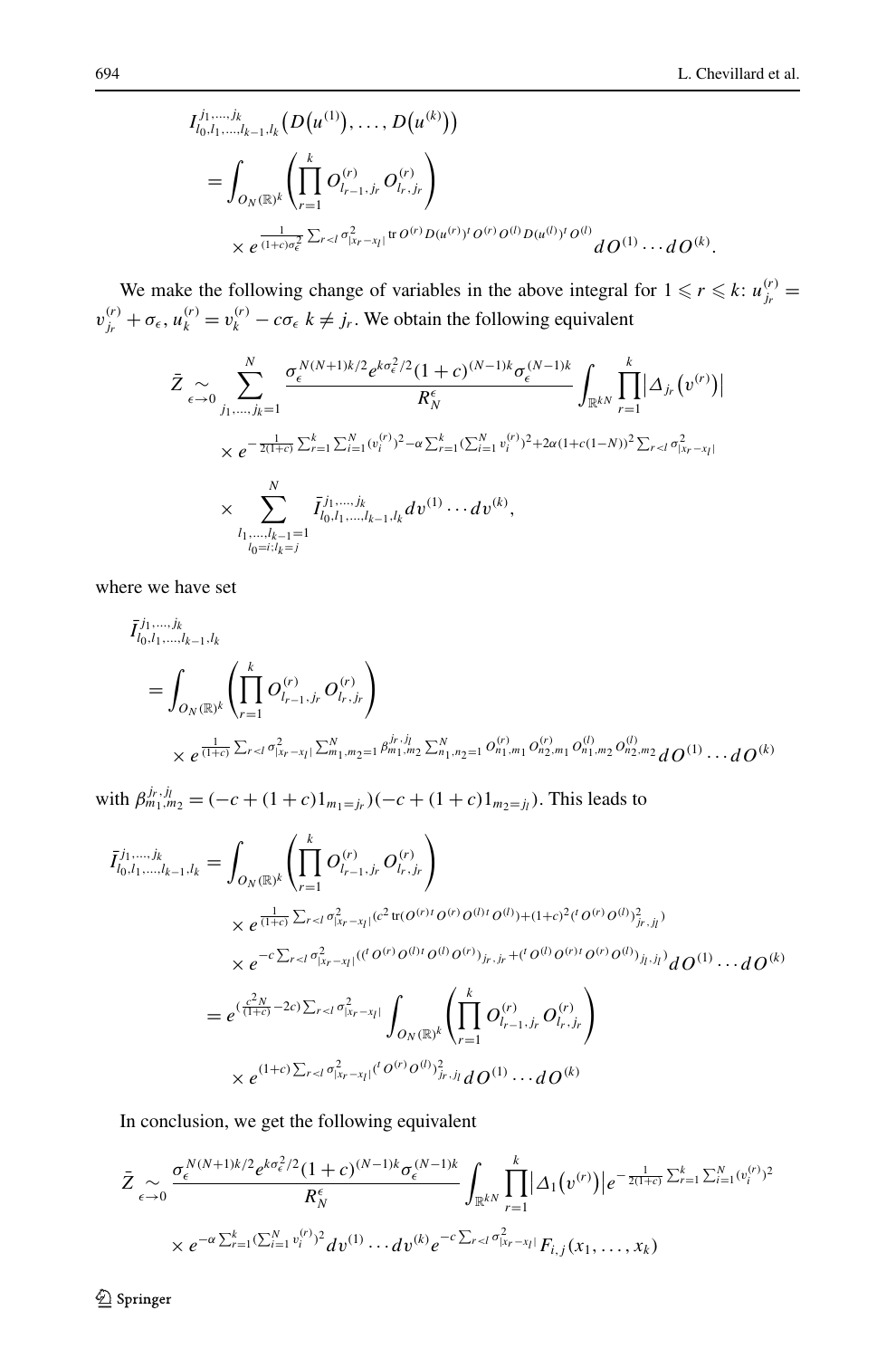$$
I_{l_0, l_1, ..., l_{k-1}, l_k}^{j_1, ..., j_k} (D(u^{(1)}), ..., D(u^{(k)}))
$$
  
= 
$$
\int_{O_N(\mathbb{R})^k} \left( \prod_{r=1}^k O_{l_{r-1}, j_r}^{(r)} O_{l_r, j_r}^{(r)} \right)
$$
  
\$\times e^{\frac{1}{(1+c)\sigma\_{\epsilon}^2} \sum\_{r < l} \sigma\_{|x\_r - x\_l|}^{2} \text{tr } O^{(r)} D(u^{(r)})^t O^{(r)} O^{(l)} D(u^{(l)})^t O^{(l)}} dO^{(1)} \cdots dO^{(k)}\$.

We make the following change of variables in the above integral for  $1 \le r \le k$ :  $u_{j_r}^{(r)} =$  $v_{j_r}^{(r)} + \sigma_{\epsilon}$ ,  $u_k^{(r)} = v_k^{(r)} - c\sigma_{\epsilon}$  *k*  $\neq j_r$ . We obtain the following equivalent

$$
\bar{Z} \underset{\epsilon \to 0}{\sim} \sum_{j_1, \dots, j_k=1}^{N} \frac{\sigma_{\epsilon}^{N(N+1)k/2} e^{k\sigma_{\epsilon}^2/2} (1+c)^{(N-1)k} \sigma_{\epsilon}^{(N-1)k}}{R_N^{\epsilon}} \int_{\mathbb{R}^{kN}} \prod_{r=1}^{k} |\Delta_{j_r}(v^{(r)})|
$$
\n
$$
\times e^{-\frac{1}{2(1+c)} \sum_{r=1}^{k} \sum_{i=1}^{N} (v_i^{(r)})^2 - \alpha \sum_{r=1}^{k} (\sum_{i=1}^{N} v_i^{(r)})^2 + 2\alpha (1+c(1-N))^2 \sum_{r < l} \sigma_{|x_r - x_l|}^2}
$$
\n
$$
\times \sum_{\substack{l_1, \dots, l_{k-1}=1\\l_0 = i; l_k = j}}^{N} \bar{I}_{l_0, l_1, \dots, l_{k-1}, l_k}^{j_1, \dots, j_k} dv^{(1)} \cdots dv^{(k)},
$$

where we have set

$$
\bar{I}_{l_0, l_1, \ldots, l_{k-1}, l_k}^{j_1, \ldots, j_k} = \int_{O_N(\mathbb{R})^k} \left( \prod_{r=1}^k O_{l_{r-1}, j_r}^{(r)} O_{l_r, j_r}^{(r)} \right) \times e^{\frac{1}{(1+\epsilon)} \sum_{r < l} \sigma_{l_{kr}-x_l}^2 \sum_{m_1, m_2=1}^N \beta_{m_1, m_2}^{j_r, j_l} \sum_{m_1, m_2=1}^N O_{n_1, m_1}^{(r)} O_{n_2, m_1}^{(r)} O_{n_1, m_2}^{(l)} O_{n_2, m_2}^{(l)} dO^{(1)} \cdots dO^{(k)}}
$$

with  $\beta_{m_1,m_2}^{j_r,j_l} = (-c + (1+c)1_{m_1=j_r})(-c + (1+c)1_{m_2=j_l})$ . This leads to

$$
\overline{I}_{l_0, l_1, \dots, l_k - 1, l_k}^{j_1, \dots, j_k} = \int_{O_N(\mathbb{R})^k} \left( \prod_{r=1}^k O_{l_{r-1}, j_r}^{(r)} O_{l_{r}, j_r}^{(r)} \right)
$$
\n
$$
\times e^{\frac{1}{(1+c)} \sum_{r < l} \sigma_{l_{r-r}l}^2 |(c^2 \operatorname{tr}(O^{(r)} I O^{(r)} O^{(l)} O^{(l)}) + (1+c)^2 ({}^{t} O^{(r)} O^{(l)})_{j_r, j_l}^2)}
$$
\n
$$
\times e^{-c \sum_{r < l} \sigma_{l_{r-r}l}^2 |({}^{t} O^{(r)} O^{(l)} I O^{(l)} O^{(r)})_{j_r, j_r} + ({}^{t} O^{(l)} O^{(r)} I O^{(r)} O^{(l)})_{j_l, j_l}^2} d O^{(1)} \cdots d O^{(k)}
$$
\n
$$
= e^{(\frac{c^2 N}{(1+c)} - 2c) \sum_{r < l} \sigma_{l_{r-r}l}^2} \int_{O_N(\mathbb{R})^k} \left( \prod_{r=1}^k O_{l_{r-1}, j_r}^{(r)} O_{l_r, j_r}^{(r)} \right)
$$
\n
$$
\times e^{(1+c) \sum_{r < l} \sigma_{l_{r-r}l}^2 |({}^{t} O^{(r)} O^{(l)})_{j_r, j_l}^2} d O^{(1)} \cdots d O^{(k)}
$$

In conclusion, we get the following equivalent

$$
\bar{Z}_{\epsilon \to 0} \frac{\sigma_{\epsilon}^{N(N+1)k/2} e^{k\sigma_{\epsilon}^2/2} (1+c)^{(N-1)k} \sigma_{\epsilon}^{(N-1)k}}{R_N^{\epsilon}} \int_{\mathbb{R}^{kN}} \prod_{r=1}^k |\Delta_1(v^{(r)})| e^{-\frac{1}{2(1+c)} \sum_{r=1}^N \sum_{i=1}^N (v_i^{(r)})^2}
$$
  
×  $e^{-\alpha \sum_{r=1}^k (\sum_{i=1}^N v_i^{(r)})^2} dv^{(1)} \cdots dv^{(k)} e^{-c \sum_{r$ 

 **2** Springer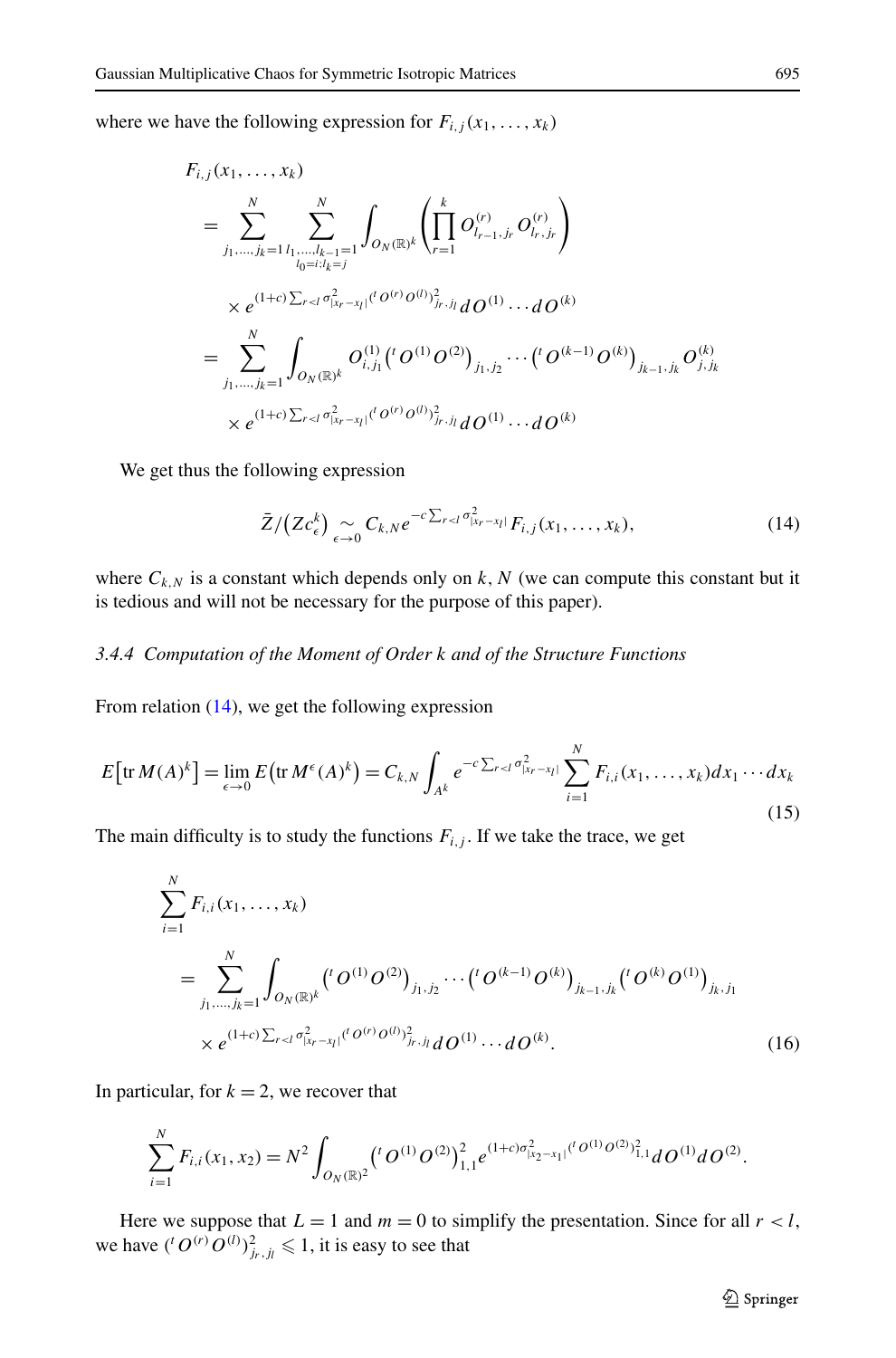where we have the following expression for  $F_{i,j}(x_1,...,x_k)$ 

$$
F_{i,j}(x_1,...,x_k)
$$
\n
$$
= \sum_{j_1,...,j_k=1}^N \sum_{l_1,...,l_{k-1}=1}^N \int_{O_N(\mathbb{R})^k} \left( \prod_{r=1}^k O_{l_{r-1},j_r}^{(r)} O_{l_r,j_r}^{(r)} \right)
$$
\n
$$
\times e^{(1+c)\sum_{r\n
$$
= \sum_{j_1,...,j_k=1}^N \int_{O_N(\mathbb{R})^k} O_{i,j_1}^{(1)}({}^{t}O^{(1)}O^{(2)})_{j_1,j_2} \cdots({}^{t}O^{(k-1)}O^{(k)})_{j_{k-1},j_k} O_{j,j_k}^{(k)}
$$
\n
$$
\times e^{(1+c)\sum_{r
$$
$$

We get thus the following expression

<span id="page-17-1"></span><span id="page-17-0"></span>
$$
\bar{Z}/(Zc_{\epsilon}^k) \underset{\epsilon \to 0}{\sim} C_{k,N} e^{-c\sum_{r\n(14)
$$

where  $C_{k,N}$  is a constant which depends only on  $k, N$  (we can compute this constant but it is tedious and will not be necessary for the purpose of this paper).

#### *3.4.4 Computation of the Moment of Order k and of the Structure Functions*

From relation [\(14\)](#page-17-0), we get the following expression

$$
E\big[\text{tr}\,M(A)^k\big] = \lim_{\epsilon \to 0} E\big(\text{tr}\,M^{\epsilon}(A)^k\big) = C_{k,N} \int_{A^k} e^{-c\sum_{r < l} \sigma_{|x_r - x_l|}^2} \sum_{i=1}^N F_{i,i}(x_1,\ldots,x_k) dx_1 \cdots dx_k
$$
\n(15)

The main difficulty is to study the functions  $F_{i,j}$ . If we take the trace, we get

$$
\sum_{i=1}^{N} F_{i,i}(x_1, \dots, x_k)
$$
\n
$$
= \sum_{j_1, \dots, j_k=1}^{N} \int_{O_N(\mathbb{R})^k} \left( {}^{t}O^{(1)}O^{(2)} \right)_{j_1, j_2} \cdots \left( {}^{t}O^{(k-1)}O^{(k)} \right)_{j_{k-1}, j_k} \left( {}^{t}O^{(k)}O^{(1)} \right)_{j_k, j_1}
$$
\n
$$
\times e^{(1+c)\sum_{r\n(16)
$$

In particular, for  $k = 2$ , we recover that

$$
\sum_{i=1}^N F_{i,i}(x_1,x_2) = N^2 \int_{O_N(\mathbb{R})^2} ({}^{t}O^{(1)}O^{(2)})^2_{1,1} e^{(1+c)\sigma^2_{|x_2-x_1|} ({}^{t}O^{(1)}O^{(2)})^2_{1,1}} dO^{(1)} dO^{(2)}.
$$

Here we suppose that  $L = 1$  and  $m = 0$  to simplify the presentation. Since for all  $r < l$ , we have  $({}^{t}O^{(r)}O^{(l)})^2_{j_r,j_l} \leq 1$ , it is easy to see that

2 Springer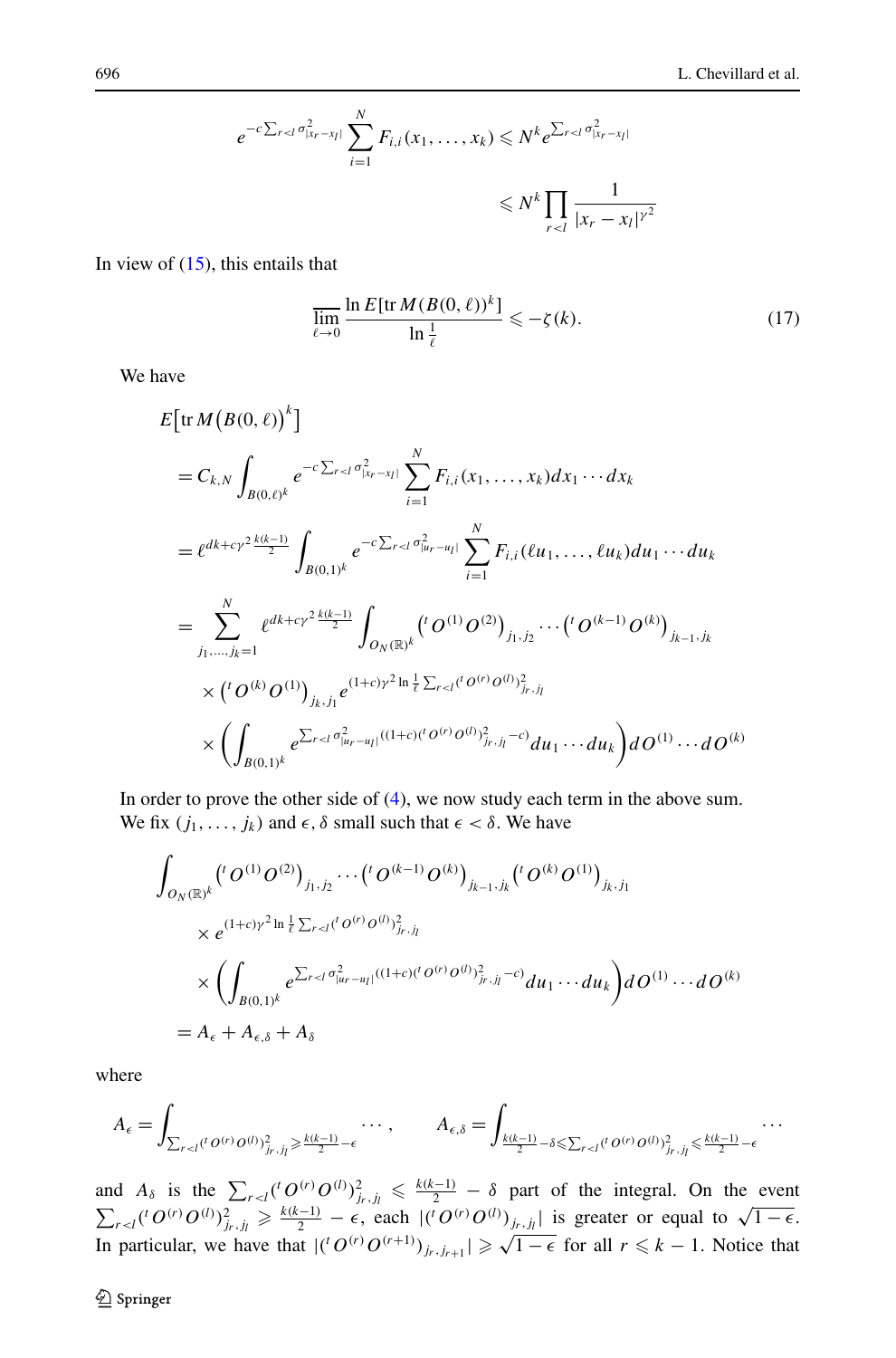$$
e^{-c\sum_{r  

$$
\leq N^k \prod_{r
$$
$$

In view of  $(15)$  $(15)$ , this entails that

<span id="page-18-0"></span>
$$
\overline{\lim_{\ell \to 0}} \frac{\ln E[\text{tr}\,M(B(0,\ell))^k]}{\ln \frac{1}{\ell}} \leqslant -\zeta(k). \tag{17}
$$

We have

$$
E\left[\text{tr}\,M\left(B(0,\ell)\right)^{k}\right]
$$
\n
$$
= C_{k,N} \int_{B(0,\ell)^{k}} e^{-c\sum_{r\n
$$
= \ell^{dk+c\gamma^{2}} \frac{k(k-1)}{2} \int_{B(0,1)^{k}} e^{-c\sum_{r\n
$$
= \sum_{j_{1},...,j_{k}=1}^{N} \ell^{dk+c\gamma^{2}} \frac{k(k-1)}{2} \int_{O_{N}(\mathbb{R})^{k}} \left(\int_{0}^{Q(1)} O^{(2)}\right)_{j_{1},j_{2}} \cdots \left(\int_{0}^{Q(k-1)} O^{(k)}\right)_{j_{k-1},j_{k}}
$$
\n
$$
\times \left(\int_{0}^{Q(k)} O^{(1)}\right)_{j_{k},j_{l}} e^{(1+c)\gamma^{2} \ln \frac{1}{\ell} \sum_{r
$$
$$
$$

In order to prove the other side of [\(4](#page-4-1)), we now study each term in the above sum. We fix  $(j_1, \ldots, j_k)$  and  $\epsilon, \delta$  small such that  $\epsilon < \delta$ . We have

$$
\int_{O_N(\mathbb{R})^k} ({}^{t}O^{(1)}O^{(2)})_{j_1,j_2} \cdots ({}^{t}O^{(k-1)}O^{(k)})_{j_{k-1},j_k} ({}^{t}O^{(k)}O^{(1)})_{j_k,j_1}
$$
\n
$$
\times e^{(1+c)\gamma^2 \ln \frac{1}{\ell} \sum_{r < l} ({}^{t}O^{(r)}O^{(l)})_{j_r,j_l}^2}
$$
\n
$$
\times \left( \int_{B(0,1)^k} e^{\sum_{r < l} \sigma_{|u_r-u_l|}^2 ((1+c)({}^{t}O^{(r)}O^{(l)})_{j_r,j_l}^2 - c)} du_1 \cdots du_k \right) dO^{(1)} \cdots dO^{(k)}
$$
\n
$$
= A_{\epsilon} + A_{\epsilon,\delta} + A_{\delta}
$$

where

$$
A_{\epsilon} = \int_{\sum_{r < l} (l' \, O^{(r)} \, O^{(l)})^2_{jr\,, j_l} \geqslant \frac{k(k-1)}{2} - \epsilon} \cdots, \qquad A_{\epsilon, \delta} = \int_{\frac{k(k-1)}{2} - \delta \leqslant \sum_{r < l} (l' \, O^{(r)} \, O^{(l)})^2_{jr\,, j_l} \leqslant \frac{k(k-1)}{2} - \epsilon} \cdots
$$

and  $A_{\delta}$  is the  $\sum_{r \leq l} ({}^{t}O^{(r)}O^{(l)})^{2}_{j_{r},j_{l}} \leq \frac{k(k-1)}{2} - \delta$  part of the integral. On the event  $\sum_{r \leq l}$  (<sup>t</sup>  $O^{(r)}O^{(l)}$ )<sup>2</sup><sub>*jr,jl*</sup>  $\geq \frac{k(k-1)}{2} - \epsilon$ , each  $|({}^{t}O^{(r)}O^{(l)})_{j_r,j_l}|$  is greater or equal to  $\sqrt{1-\epsilon}$ .</sub> In particular, we have that  $|({^t}O^{(r)}O^{(r+1)})_{j_r,j_{r+1}}| \ge \sqrt{1-\epsilon}$  for all  $r \le k-1$ . Notice that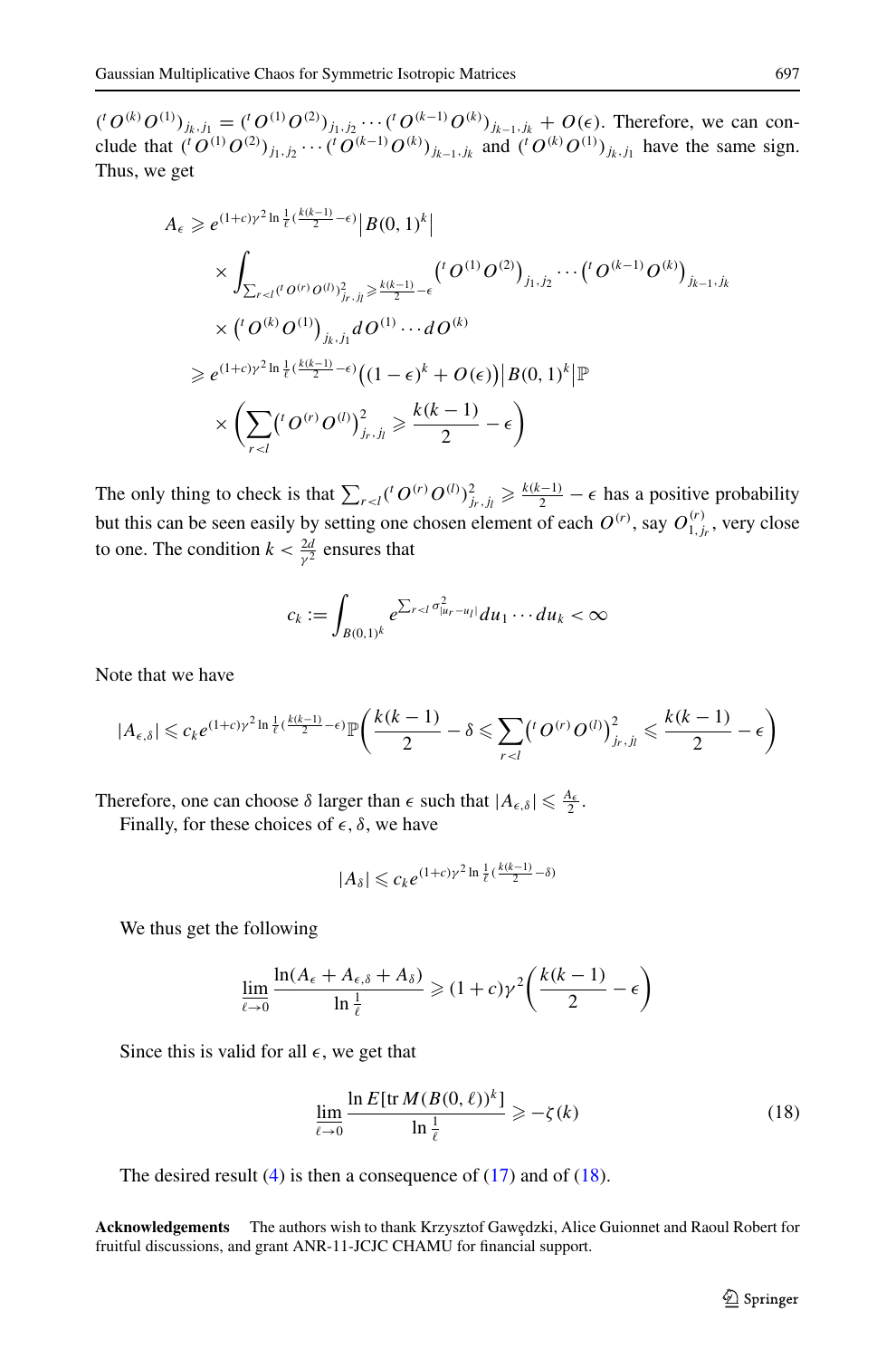$({}^tO^{(k)}O^{(1)})_{j_k,j_1} = ({}^tO^{(1)}O^{(2)})_{j_1,j_2} \cdots ({}^tO^{(k-1)}O^{(k)})_{j_{k-1},j_k} + O(\epsilon)$ . Therefore, we can conclude that  $({}^{t}O^{(1)}O^{(2)})_{j_1,j_2}\cdots({}^{t}O^{(k-1)}O^{(k)})_{j_{k-1},j_k}$  and  $({}^{t}O^{(k)}O^{(1)})_{j_k,j_1}$  have the same sign. Thus, we get

$$
A_{\epsilon} \geq e^{(1+c)\gamma^{2} \ln \frac{1}{\ell} (\frac{k(k-1)}{2} - \epsilon)} |B(0,1)^{k}|
$$
  
\n
$$
\times \int_{\sum_{r < l} (l'Q^{(r)}Q^{(l)})_{j_r,j_l}^2 \geq \frac{k(k-1)}{2} - \epsilon} \binom{l'Q^{(1)}Q^{(2)}}{j_1,j_2} \cdots \binom{l'Q^{(k-1)}Q^{(k)}}{j_{k-1},j_k}
$$
  
\n
$$
\times \binom{l'Q^{(k)}Q^{(1)}}{j_{k},j_1} dQ^{(1)} \cdots dQ^{(k)}
$$
  
\n
$$
\geq e^{(1+c)\gamma^{2} \ln \frac{1}{\ell} (\frac{k(k-1)}{2} - \epsilon)} \left( (1 - \epsilon)^{k} + O(\epsilon) \right) |B(0,1)^{k}| \mathbb{P}
$$
  
\n
$$
\times \left( \sum_{r < l} \binom{l'Q^{(r)}Q^{(l)}}{j_r,j_l} \geq \frac{k(k-1)}{2} - \epsilon \right)
$$

The only thing to check is that  $\sum_{r \leq l} ({}^t O^{(r)} O^{(l)})^2_{j_r, j_l} \geq \frac{k(k-1)}{2} - \epsilon$  has a positive probability but this can be seen easily by setting one chosen element of each  $O^{(r)}$ , say  $O^{(r)}_{1,j_r}$ , very close to one. The condition  $k < \frac{2d}{\gamma^2}$  ensures that

$$
c_k:=\int_{B(0,1)^k}e^{\sum_{r
$$

Note that we have

$$
|A_{\epsilon,\delta}|\leqslant c_ke^{(1+c)\gamma^2\ln\frac{1}{\ell}(\frac{k(k-1)}{2}-\epsilon)}\mathbb{P}\bigg(\frac{k(k-1)}{2}-\delta\leqslant \sum_{r
$$

Therefore, one can choose  $\delta$  larger than  $\epsilon$  such that  $|A_{\epsilon,\delta}| \leq \frac{A_{\epsilon}}{2}$ .

Finally, for these choices of  $\epsilon$ ,  $\delta$ , we have

<span id="page-19-0"></span>
$$
|A_{\delta}| \leqslant c_k e^{(1+c)\gamma^2 \ln \frac{1}{\ell} (\frac{k(k-1)}{2} - \delta)}
$$

We thus get the following

$$
\lim_{\ell \to 0} \frac{\ln(A_{\epsilon} + A_{\epsilon, \delta} + A_{\delta})}{\ln \frac{1}{\ell}} \geq (1 + c) \gamma^2 \left( \frac{k(k-1)}{2} - \epsilon \right)
$$

Since this is valid for all  $\epsilon$ , we get that

$$
\lim_{\ell \to 0} \frac{\ln E[\text{tr}\,M(B(0,\ell))^k]}{\ln \frac{1}{\ell}} \geqslant -\zeta(k) \tag{18}
$$

The desired result  $(4)$  is then a consequence of  $(17)$  and of  $(18)$  $(18)$  $(18)$ .

**Acknowledgements** The authors wish to thank Krzysztof Gawędzki, Alice Guionnet and Raoul Robert for fruitful discussions, and grant ANR-11-JCJC CHAMU for financial support.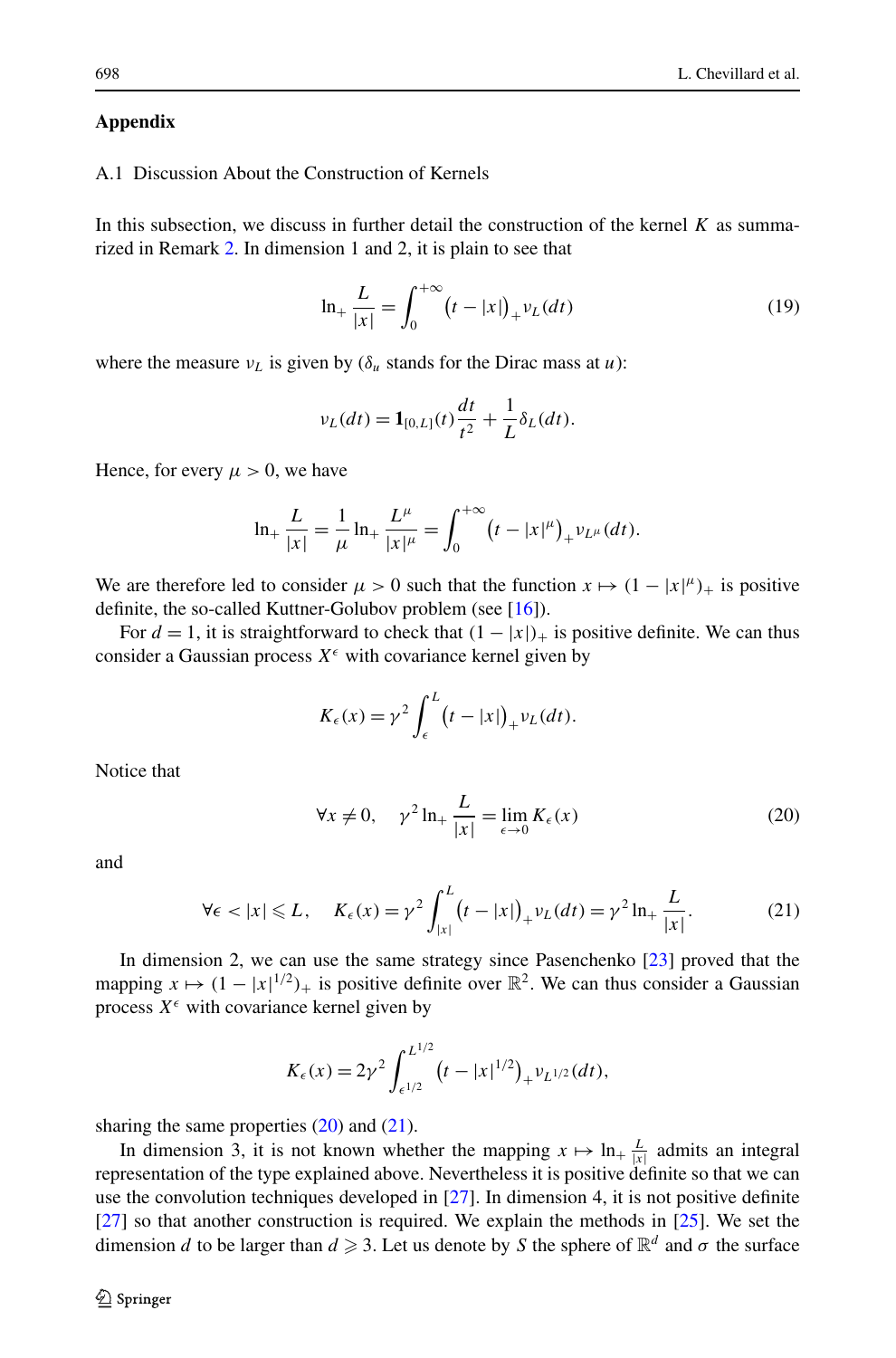### <span id="page-20-1"></span><span id="page-20-0"></span>**Appendix**

## A.1 Discussion About the Construction of Kernels

In this subsection, we discuss in further detail the construction of the kernel  $K$  as summarized in Remark [2.](#page-3-3) In dimension 1 and 2, it is plain to see that

<span id="page-20-4"></span>
$$
\ln_{+}\frac{L}{|x|} = \int_{0}^{+\infty} (t - |x|)_{+} v_L(dt)
$$
 (19)

where the measure  $v_l$  is given by ( $\delta_u$  stands for the Dirac mass at *u*):

$$
\nu_L(dt) = \mathbf{1}_{[0,L]}(t)\frac{dt}{t^2} + \frac{1}{L}\delta_L(dt).
$$

Hence, for every  $\mu > 0$ , we have

$$
\ln_{+}\frac{L}{|x|}=\frac{1}{\mu}\ln_{+}\frac{L^{\mu}}{|x|^{\mu}}=\int_{0}^{+\infty}(t-|x|^{\mu})_{+}v_{L^{\mu}}(dt).
$$

We are therefore led to consider  $\mu > 0$  such that the function  $x \mapsto (1 - |x|^{\mu})_+$  is positive definite, the so-called Kuttner-Golubov problem (see [\[16\]](#page-25-22)).

For  $d = 1$ , it is straightforward to check that  $(1 - |x|)$  is positive definite. We can thus consider a Gaussian process  $X^{\epsilon}$  with covariance kernel given by

<span id="page-20-3"></span><span id="page-20-2"></span>
$$
K_{\epsilon}(x) = \gamma^2 \int_{\epsilon}^{L} (t - |x|)_{+} \nu_L(dt).
$$

Notice that

$$
\forall x \neq 0, \quad \gamma^2 \ln_+ \frac{L}{|x|} = \lim_{\epsilon \to 0} K_{\epsilon}(x) \tag{20}
$$

and

$$
\forall \epsilon < |x| \leq L, \quad K_{\epsilon}(x) = \gamma^2 \int_{|x|}^{L} (t - |x|)_{+} \nu_{L}(dt) = \gamma^2 \ln_{+} \frac{L}{|x|}.
$$
 (21)

In dimension 2, we can use the same strategy since Pasenchenko [\[23\]](#page-25-23) proved that the mapping  $x \mapsto (1 - |x|^{1/2})_+$  is positive definite over  $\mathbb{R}^2$ . We can thus consider a Gaussian process  $X^{\epsilon}$  with covariance kernel given by

$$
K_{\epsilon}(x) = 2\gamma^2 \int_{\epsilon^{1/2}}^{L^{1/2}} (t - |x|^{1/2})_{+} v_{L^{1/2}}(dt),
$$

sharing the same properties  $(20)$  and  $(21)$ .

In dimension 3, it is not known whether the mapping  $x \mapsto \ln_+ \frac{L}{|x|}$  admits an integral representation of the type explained above. Nevertheless it is positive definite so that we can use the convolution techniques developed in [[27](#page-25-16)]. In dimension 4, it is not positive definite [[27](#page-25-16)] so that another construction is required. We explain the methods in [\[25\]](#page-25-15). We set the dimension *d* to be larger than  $d \ge 3$ . Let us denote by *S* the sphere of  $\mathbb{R}^d$  and  $\sigma$  the surface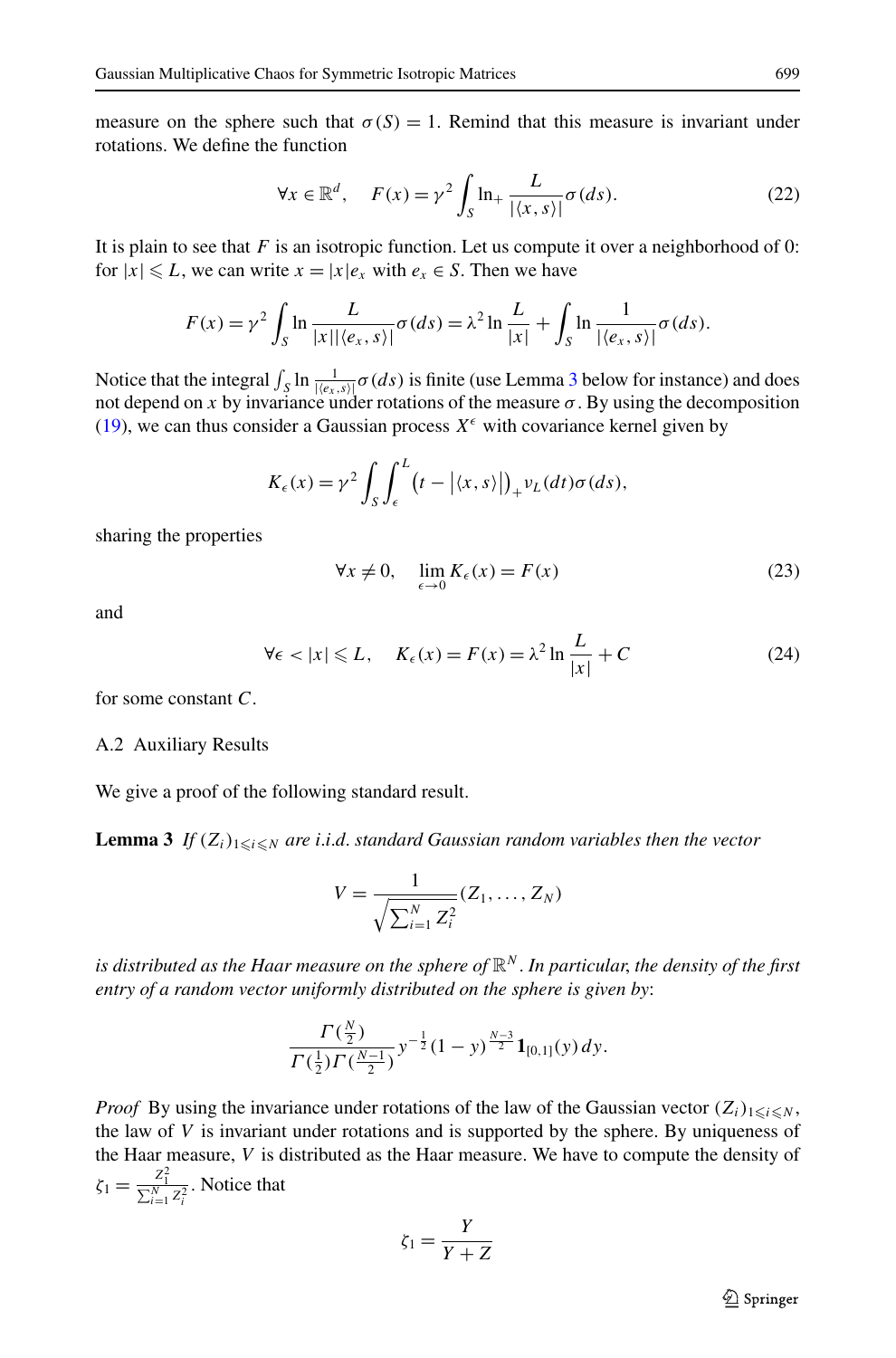measure on the sphere such that  $\sigma(S) = 1$ . Remind that this measure is invariant under rotations. We define the function

$$
\forall x \in \mathbb{R}^d, \quad F(x) = \gamma^2 \int_S \ln_+ \frac{L}{|\langle x, s \rangle|} \sigma(ds). \tag{22}
$$

It is plain to see that  $F$  is an isotropic function. Let us compute it over a neighborhood of 0: for  $|x| \le L$ , we can write  $x = |x|e_x$  with  $e_x \in S$ . Then we have

$$
F(x) = \gamma^2 \int_S \ln \frac{L}{|x||\langle e_x, s \rangle|} \sigma(ds) = \lambda^2 \ln \frac{L}{|x|} + \int_S \ln \frac{1}{|\langle e_x, s \rangle|} \sigma(ds).
$$

Notice that the integral  $\int_S \ln \frac{1}{|\langle e_x, s \rangle|} \sigma(ds)$  is finite (use Lemma [3](#page-21-0) below for instance) and does not depend on x by invariance under rotations of the measure  $\sigma$ . By using the decomposition ([19](#page-20-4)), we can thus consider a Gaussian process  $X^{\epsilon}$  with covariance kernel given by

$$
K_{\epsilon}(x) = \gamma^2 \int_{S} \int_{\epsilon}^{L} (t - | \langle x, s \rangle |)_{+} \nu_{L}(dt) \sigma(ds),
$$

sharing the properties

$$
\forall x \neq 0, \quad \lim_{\epsilon \to 0} K_{\epsilon}(x) = F(x) \tag{23}
$$

<span id="page-21-0"></span>and

$$
\forall \epsilon < |x| \leqslant L, \quad K_{\epsilon}(x) = F(x) = \lambda^2 \ln \frac{L}{|x|} + C \tag{24}
$$

for some constant *C*.

#### A.2 Auxiliary Results

We give a proof of the following standard result.

**Lemma 3** If  $(Z_i)_{1\leq i\leq N}$  are *i.i.d.* standard Gaussian random variables then the vector

$$
V = \frac{1}{\sqrt{\sum_{i=1}^{N} Z_i^2}} (Z_1, \dots, Z_N)
$$

*is distributed as the Haar measure on the sphere of* R*<sup>N</sup>* . *In particular*, *the density of the first entry of a random vector uniformly distributed on the sphere is given by*:

$$
\frac{\Gamma(\frac{N}{2})}{\Gamma(\frac{1}{2})\Gamma(\frac{N-1}{2})}y^{-\frac{1}{2}}(1-y)^{\frac{N-3}{2}}\mathbf{1}_{[0,1]}(y)dy.
$$

*Proof* By using the invariance under rotations of the law of the Gaussian vector  $(Z_i)_{1 \leq i \leq N}$ , the law of *V* is invariant under rotations and is supported by the sphere. By uniqueness of the Haar measure, *V* is distributed as the Haar measure. We have to compute the density of  $\zeta_1 = \frac{Z_1^2}{\sum_{i=1}^N Z_i^2}$ . Notice that

$$
\zeta_1 = \frac{Y}{Y+Z}
$$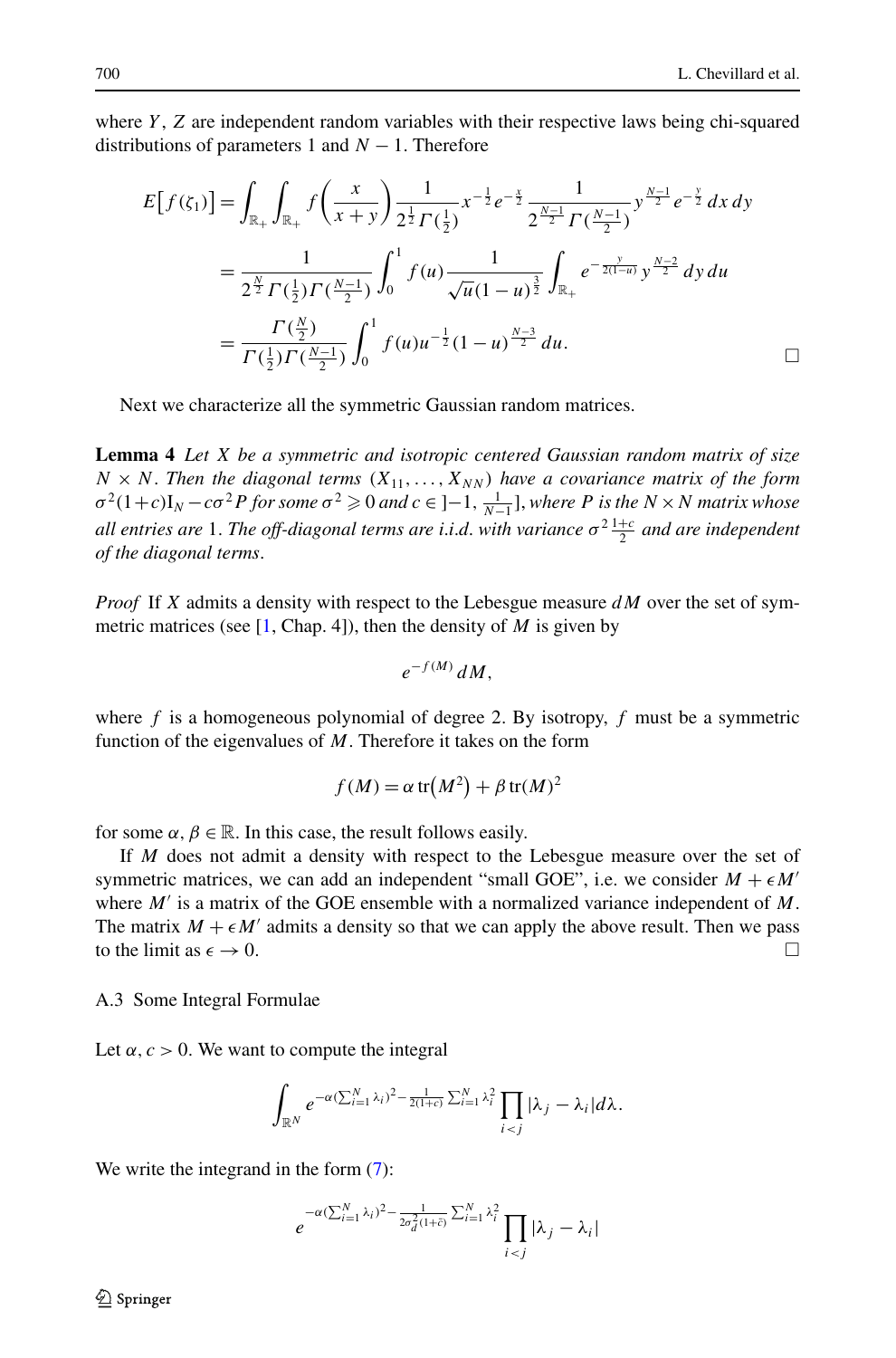where *Y*, *Z* are independent random variables with their respective laws being chi-squared distributions of parameters 1 and  $N - 1$ . Therefore

<span id="page-22-0"></span>
$$
E[f(\zeta_1)] = \int_{\mathbb{R}_+} \int_{\mathbb{R}_+} f\left(\frac{x}{x+y}\right) \frac{1}{2^{\frac{1}{2}} \Gamma(\frac{1}{2})} x^{-\frac{1}{2}} e^{-\frac{x}{2}} \frac{1}{2^{\frac{N-1}{2}} \Gamma(\frac{N-1}{2})} y^{\frac{N-1}{2}} e^{-\frac{y}{2}} dx dy
$$
  
= 
$$
\frac{1}{2^{\frac{N}{2}} \Gamma(\frac{1}{2}) \Gamma(\frac{N-1}{2})} \int_0^1 f(u) \frac{1}{\sqrt{u} (1-u)^{\frac{3}{2}}} \int_{\mathbb{R}_+} e^{-\frac{y}{2(1-u)}} y^{\frac{N-2}{2}} dy du
$$
  
= 
$$
\frac{\Gamma(\frac{N}{2})}{\Gamma(\frac{1}{2}) \Gamma(\frac{N-1}{2})} \int_0^1 f(u) u^{-\frac{1}{2}} (1-u)^{\frac{N-3}{2}} du.
$$

Next we characterize all the symmetric Gaussian random matrices.

**Lemma 4** *Let X be a symmetric and isotropic centered Gaussian random matrix of size*  $N \times N$ . Then the diagonal terms  $(X_{11},...,X_{NN})$  have a covariance matrix of the form  $\sigma^2(1+c)I_N - c\sigma^2P$  *for some*  $\sigma^2 \geq 0$  *and*  $c \in ]-1, \frac{1}{N-1}]$ , where P is the  $N \times N$  matrix whose *all entries are* 1. *The off-diagonal terms are i*.*i*.*d*. *with variance σ*<sup>2</sup> <sup>1</sup>+*<sup>c</sup>* <sup>2</sup> *and are independent of the diagonal terms*.

*Proof* If *X* admits a density with respect to the Lebesgue measure *dM* over the set of symmetric matrices (see  $[1, Chap. 4]$  $[1, Chap. 4]$  $[1, Chap. 4]$ ), then the density of *M* is given by

$$
e^{-f(M)}\,dM,
$$

where *f* is a homogeneous polynomial of degree 2. By isotropy, *f* must be a symmetric function of the eigenvalues of *M*. Therefore it takes on the form

$$
f(M) = \alpha \operatorname{tr}(M^2) + \beta \operatorname{tr}(M)^2
$$

for some  $\alpha, \beta \in \mathbb{R}$ . In this case, the result follows easily.

If *M* does not admit a density with respect to the Lebesgue measure over the set of symmetric matrices, we can add an independent "small GOE", i.e. we consider  $M + \epsilon M'$ where  $M'$  is a matrix of the GOE ensemble with a normalized variance independent of  $M$ . The matrix  $M + \epsilon M'$  admits a density so that we can apply the above result. Then we pass to the limit as  $\epsilon \to 0$ .

A.3 Some Integral Formulae

Let  $\alpha$ ,  $c > 0$ . We want to compute the integral

$$
\int_{\mathbb{R}^N} e^{-\alpha (\sum_{i=1}^N \lambda_i)^2 - \frac{1}{2(1+\epsilon)}\sum_{i=1}^N \lambda_i^2} \prod_{i < j} |\lambda_j - \lambda_i| d\lambda.
$$

We write the integrand in the form  $(7)$  $(7)$ :

$$
e^{-\alpha(\sum_{i=1}^N\lambda_i)^2 - \frac{1}{2\sigma_d^2(1+\tilde{c})}\sum_{i=1}^N\lambda_i^2}\prod_{i < j}|\lambda_j - \lambda_i|
$$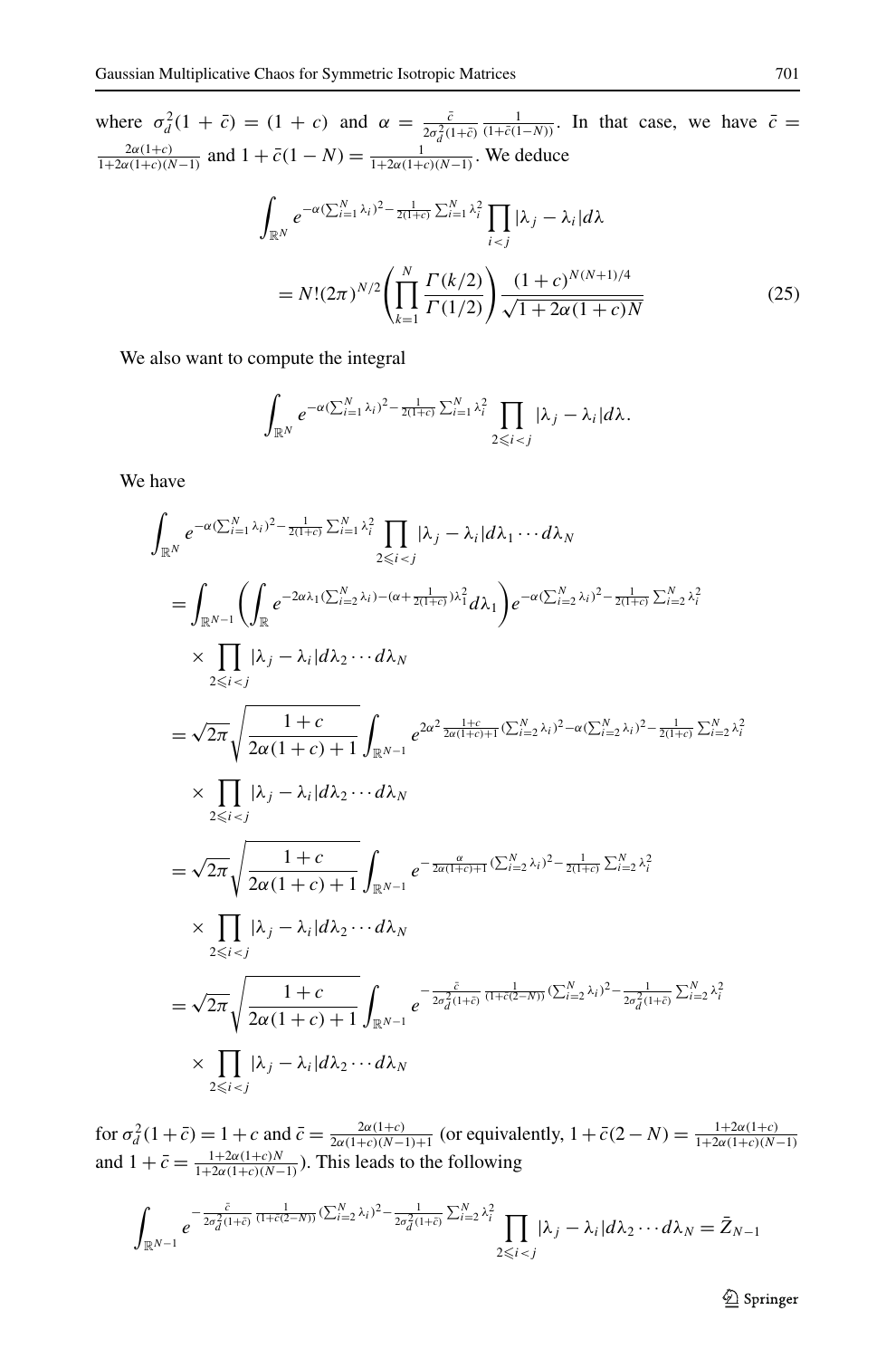where  $\sigma_d^2(1 + \bar{c}) = (1 + c)$  and  $\alpha = \frac{\bar{c}}{2\sigma_d^2(1+\bar{c})}$  $\frac{1}{(1+\bar{c}(1-N))}$ . In that case, we have  $\bar{c}$  =  $\frac{2a(1+c)}{1+2a(1+c)(N-1)}$  and  $1+\bar{c}(1-N)=\frac{1}{1+2a(1+c)(N-1)}$ . We deduce

$$
\int_{\mathbb{R}^N} e^{-\alpha (\sum_{i=1}^N \lambda_i)^2 - \frac{1}{2(1+c)} \sum_{i=1}^N \lambda_i^2} \prod_{i < j} |\lambda_j - \lambda_i| d\lambda
$$
\n
$$
= N! (2\pi)^{N/2} \left( \prod_{k=1}^N \frac{\Gamma(k/2)}{\Gamma(1/2)} \right) \frac{(1+c)^{N(N+1)/4}}{\sqrt{1+2\alpha(1+c)N}} \tag{25}
$$

We also want to compute the integral

$$
\int_{\mathbb{R}^N} e^{-\alpha (\sum_{i=1}^N \lambda_i)^2 - \frac{1}{2(1+\epsilon)} \sum_{i=1}^N \lambda_i^2} \prod_{2 \leqslant i < j} |\lambda_j - \lambda_i| d\lambda.
$$

We have

$$
\int_{\mathbb{R}^N} e^{-\alpha (\sum_{i=1}^N \lambda_i)^2 - \frac{1}{2(1+\epsilon)} \sum_{i=1}^N \lambda_i^2} \prod_{\lambda_i=1} |\lambda_j - \lambda_i| d\lambda_1 \cdots d\lambda_N
$$
\n
$$
= \int_{\mathbb{R}^{N-1}} \left( \int_{\mathbb{R}} e^{-2\alpha \lambda_1 (\sum_{i=2}^N \lambda_i) - (\alpha + \frac{1}{2(1+\epsilon)})\lambda_1^2} d\lambda_1 \right) e^{-\alpha (\sum_{i=2}^N \lambda_i)^2 - \frac{1}{2(1+\epsilon)} \sum_{i=2}^N \lambda_i^2}
$$
\n
$$
\times \prod_{2 \leq i < j} |\lambda_j - \lambda_i| d\lambda_2 \cdots d\lambda_N
$$
\n
$$
= \sqrt{2\pi} \sqrt{\frac{1+c}{2\alpha(1+c) + 1}} \int_{\mathbb{R}^{N-1}} e^{2\alpha^2 \frac{1+c}{2\alpha(1+c) + 1} (\sum_{i=2}^N \lambda_i)^2 - \alpha (\sum_{i=2}^N \lambda_i)^2 - \frac{1}{2(1+\epsilon)} \sum_{i=2}^N \lambda_i^2}
$$
\n
$$
\times \prod_{2 \leq i < j} |\lambda_j - \lambda_i| d\lambda_2 \cdots d\lambda_N
$$
\n
$$
= \sqrt{2\pi} \sqrt{\frac{1+c}{2\alpha(1+c) + 1}} \int_{\mathbb{R}^{N-1}} e^{-\frac{\alpha}{2\alpha(1+c) + 1} (\sum_{i=2}^N \lambda_i)^2 - \frac{1}{2(1+c)} \sum_{i=2}^N \lambda_i^2}
$$
\n
$$
\times \prod_{2 \leq i < j} |\lambda_j - \lambda_i| d\lambda_2 \cdots d\lambda_N
$$
\n
$$
= \sqrt{2\pi} \sqrt{\frac{1+c}{2\alpha(1+c) + 1}} \int_{\mathbb{R}^{N-1}} e^{-\frac{\tilde{c}}{2\sigma_d^2(1+\tilde{c})} \frac{1}{(1+c)(2-N)} (\sum_{i=2}^N \lambda_i)^2 - \frac{1}{2\sigma_d^2(1+\tilde{c})} \sum_{i=2}^N \lambda_i^2}
$$
\n
$$
\times \prod_{2 \leq i < j} |\lambda_j - \lambda_i
$$

for  $\sigma_d^2(1 + \bar{c}) = 1 + c$  and  $\bar{c} = \frac{2\alpha(1+c)}{2\alpha(1+c)(N-1)+1}$  (or equivalently,  $1 + \bar{c}(2 - N) = \frac{1+2\alpha(1+c)}{1+2\alpha(1+c)(N-1)}$ <br>and  $1 + \bar{c} = \frac{1+2\alpha(1+c)}{1+2\alpha(1+c)(N-1)}$ . This leads to the following

$$
\int_{\mathbb{R}^{N-1}} e^{-\frac{\bar{c}}{2\sigma_d^2(1+\bar{c})}\frac{1}{(1+\bar{c}(2-N))}(\sum_{i=2}^N \lambda_i)^2 - \frac{1}{2\sigma_d^2(1+\bar{c})}\sum_{i=2}^N \lambda_i^2} \prod_{2\leq i < j} |\lambda_j - \lambda_i| d\lambda_2 \cdots d\lambda_N = \bar{Z}_{N-1}
$$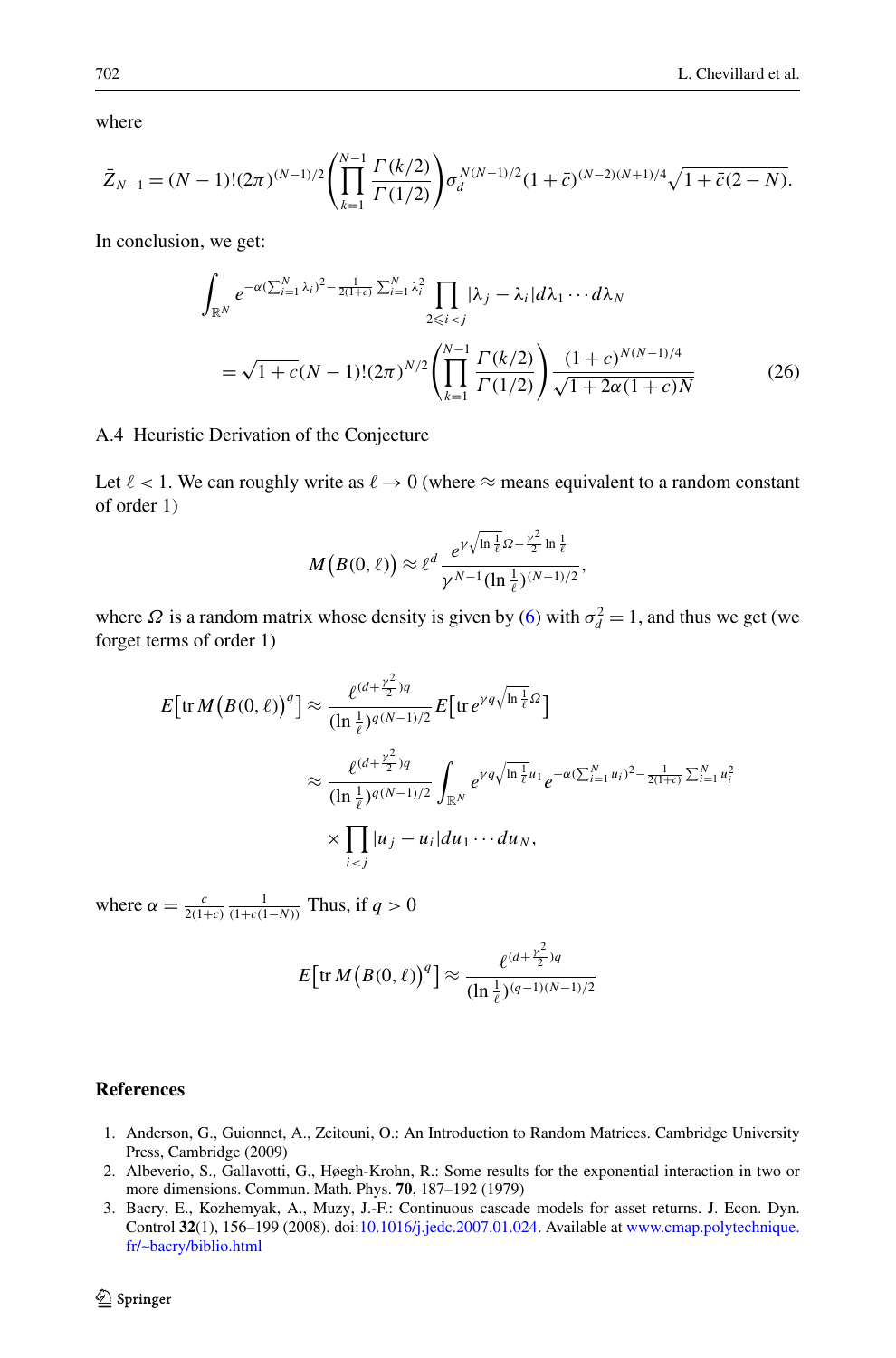where

$$
\bar{Z}_{N-1} = (N-1)!(2\pi)^{(N-1)/2} \left(\prod_{k=1}^{N-1} \frac{\Gamma(k/2)}{\Gamma(1/2)}\right) \sigma_d^{N(N-1)/2} (1+\bar{c})^{(N-2)(N+1)/4} \sqrt{1+\bar{c}(2-N)}.
$$

In conclusion, we get:

<span id="page-24-3"></span>
$$
\int_{\mathbb{R}^N} e^{-\alpha (\sum_{i=1}^N \lambda_i)^2 - \frac{1}{2(1+\epsilon)} \sum_{i=1}^N \lambda_i^2} \prod_{2 \le i < j} |\lambda_j - \lambda_i| d\lambda_1 \cdots d\lambda_N
$$
\n
$$
= \sqrt{1+c} (N-1)! (2\pi)^{N/2} \left( \prod_{k=1}^{N-1} \frac{\Gamma(k/2)}{\Gamma(1/2)} \right) \frac{(1+c)^{N(N-1)/4}}{\sqrt{1+2\alpha(1+c)N}} \tag{26}
$$

A.4 Heuristic Derivation of the Conjecture

Let  $\ell < 1$ . We can roughly write as  $\ell \to 0$  (where  $\approx$  means equivalent to a random constant of order 1)

$$
M(B(0,\ell)) \approx \ell^d \frac{e^{\gamma \sqrt{\ln \frac{1}{\ell}} \Omega - \frac{\gamma^2}{2} \ln \frac{1}{\ell}}}{\gamma^{N-1} (\ln \frac{1}{\ell})^{(N-1)/2}},
$$

where  $\Omega$  is a random matrix whose density is given by ([6\)](#page-5-2) with  $\sigma_d^2 = 1$ , and thus we get (we forget terms of order 1)

$$
E\left[\text{tr}\,M\left(B(0,\ell)\right)^{q}\right] \approx \frac{\ell^{(d+\frac{\gamma^{2}}{2})q}}{(\ln\frac{1}{\ell})^{q(N-1)/2}} E\left[\text{tr}\,e^{\gamma q\sqrt{\ln\frac{1}{\ell}}\Omega}\right]
$$

$$
\approx \frac{\ell^{(d+\frac{\gamma^{2}}{2})q}}{(\ln\frac{1}{\ell})^{q(N-1)/2}} \int_{\mathbb{R}^{N}} e^{\gamma q\sqrt{\ln\frac{1}{\ell}}u_{1}} e^{-\alpha(\sum_{i=1}^{N}u_{i})^{2} - \frac{1}{2(1+\epsilon)}\sum_{i=1}^{N}u_{i}^{2}}
$$

$$
\times \prod_{i
$$

<span id="page-24-2"></span><span id="page-24-1"></span>where  $\alpha = \frac{c}{2(1+c)} \frac{1}{(1+c(1-N))}$  Thus, if  $q > 0$ 

$$
E\big[\mathrm{tr}\,M\big(B(0,\ell)\big)^{q}\big]\approx \frac{\ell^{(d+\frac{\gamma^{2}}{2})q}}{(\ln\frac{1}{\ell})^{(q-1)(N-1)/2}}
$$

### <span id="page-24-0"></span>**References**

- 1. Anderson, G., Guionnet, A., Zeitouni, O.: An Introduction to Random Matrices. Cambridge University Press, Cambridge (2009)
- 2. Albeverio, S., Gallavotti, G., Høegh-Krohn, R.: Some results for the exponential interaction in two or more dimensions. Commun. Math. Phys. **70**, 187–192 (1979)
- 3. Bacry, E., Kozhemyak, A., Muzy, J.-F.: Continuous cascade models for asset returns. J. Econ. Dyn. Control **32**(1), 156–199 (2008). doi[:10.1016/j.jedc.2007.01.024.](http://dx.doi.org/10.1016/j.jedc.2007.01.024) Available at [www.cmap.polytechnique.](http://www.cmap.polytechnique.fr/~bacry/biblio.html) [fr/~bacry/biblio.html](http://www.cmap.polytechnique.fr/~bacry/biblio.html)